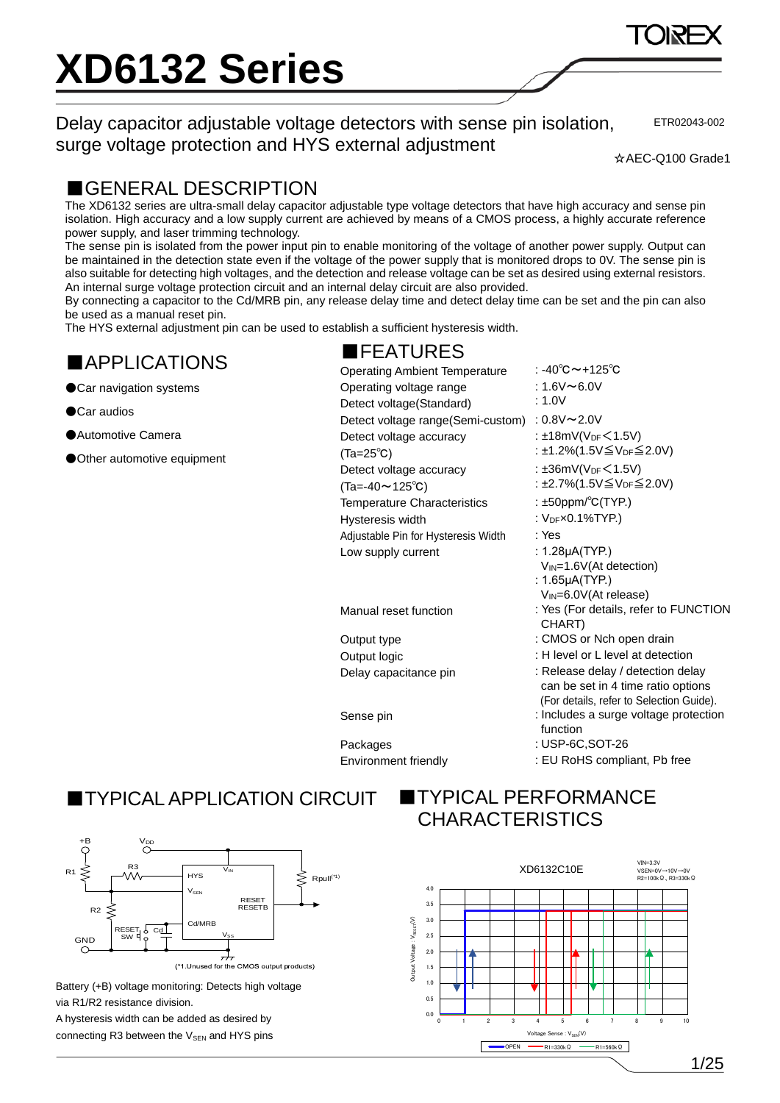Delay capacitor adjustable voltage detectors with sense pin isolation, surge voltage protection and HYS external adjustment

ETR02043-002

☆AEC-Q100 Grade1

#### ■GENERAL DESCRIPTION

The XD6132 series are ultra-small delay capacitor adjustable type voltage detectors that have high accuracy and sense pin isolation. High accuracy and a low supply current are achieved by means of a CMOS process, a highly accurate reference power supply, and laser trimming technology.

The sense pin is isolated from the power input pin to enable monitoring of the voltage of another power supply. Output can be maintained in the detection state even if the voltage of the power supply that is monitored drops to 0V. The sense pin is also suitable for detecting high voltages, and the detection and release voltage can be set as desired using external resistors. An internal surge voltage protection circuit and an internal delay circuit are also provided.

By connecting a capacitor to the Cd/MRB pin, any release delay time and detect delay time can be set and the pin can also be used as a manual reset pin.

■FEATURES

The HYS external adjustment pin can be used to establish a sufficient hysteresis width.

#### ■APPLICATIONS

- ●Car navigation systems
- ●Car audios
- ●Automotive Camera
- ●Other automotive equipment

Operating Ambient Temperature : -40℃~+125℃ Operating voltage range Detect voltage(Standard)

Detect voltage accuracy (Ta=25℃) Detect voltage accuracy (Ta=-40~125℃) Adjustable Pin for Hysteresis Width : Yes

### ■TYPICALAPPLICATION CIRCUIT



Battery (+B) voltage monitoring: Detects high voltage via R1/R2 resistance division.

A hysteresis width can be added as desired by connecting R3 between the  $V_{SEN}$  and HYS pins

#### **TYPICAL PERFORMANCE CHARACTERISTICS**



:  $1.6V \sim 6.0V$ : 1.0V Detect voltage range(Semi-custom) : 0.8V~2.0V :  $±18mV(V_{DF} < 1.5V)$ : ±1.2%(1.5V≦VDF≦2.0V) :  $\pm 36$ mV(V<sub>DF</sub> $\leq 1.5$ V) : ±2.7%(1.5V≦VDF≦2.0V) Temperature Characteristics : ±50ppm/°C(TYP.) Hysteresis width  $V_{DF} \times 0.1\%$  TYP.) Low supply current : 1.28μA(TYP.) VIN=1.6V(At detection) : 1.65μA(TYP.)

- VIN=6.0V(At release)
- Manual reset function : Yes (For details, refer to FUNCTION CHART)
- Output type  $\cdot$  CMOS or Nch open drain
- Output logic **interest in the County of L** level or L level at detection
- Delay capacitance pin : Release delay / detection delay can be set in 4 time ratio options (For details, refer to Selection Guide).
- Sense pin **Sense protection** : Includes a surge voltage protection function
- Packages : USP-6C,SOT-26
- Environment friendly : EU RoHS compliant, Pb free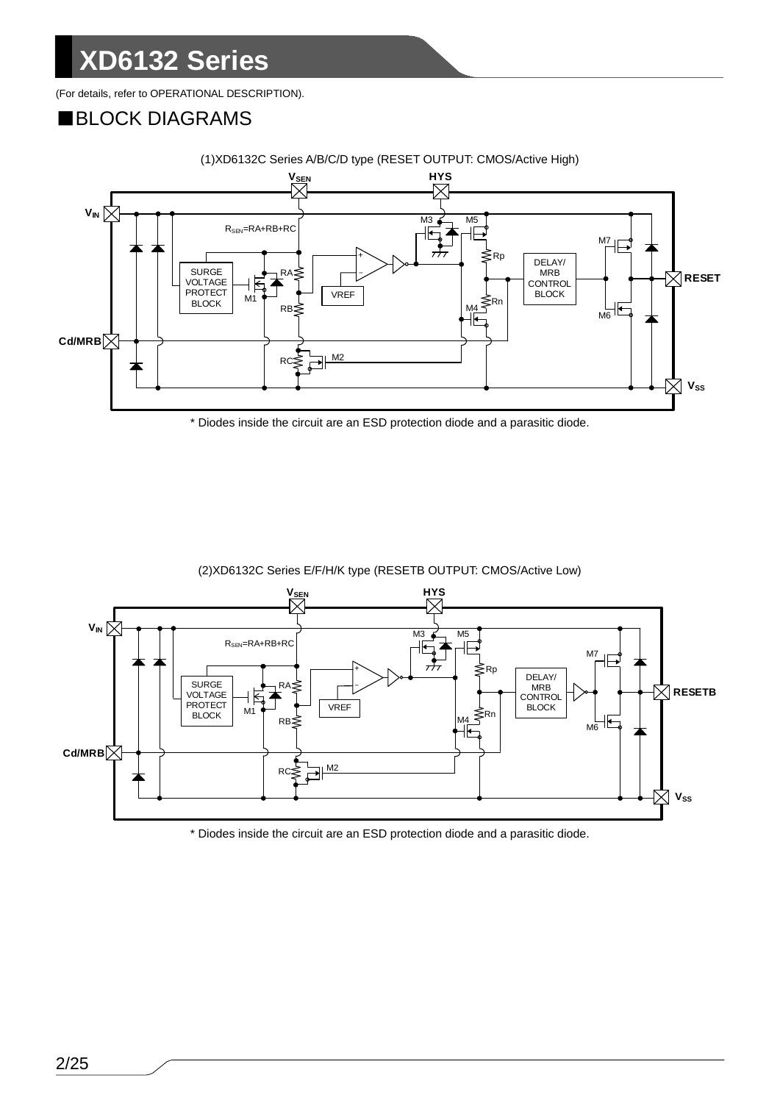(For details, refer to OPERATIONAL DESCRIPTION).

#### ■BLOCK DIAGRAMS



(1)XD6132C Series A/B/C/D type (RESET OUTPUT: CMOS/Active High)

\* Diodes inside the circuit are an ESD protection diode and a parasitic diode.



(2)XD6132C Series E/F/H/K type (RESETB OUTPUT: CMOS/Active Low)

\* Diodes inside the circuit are an ESD protection diode and a parasitic diode.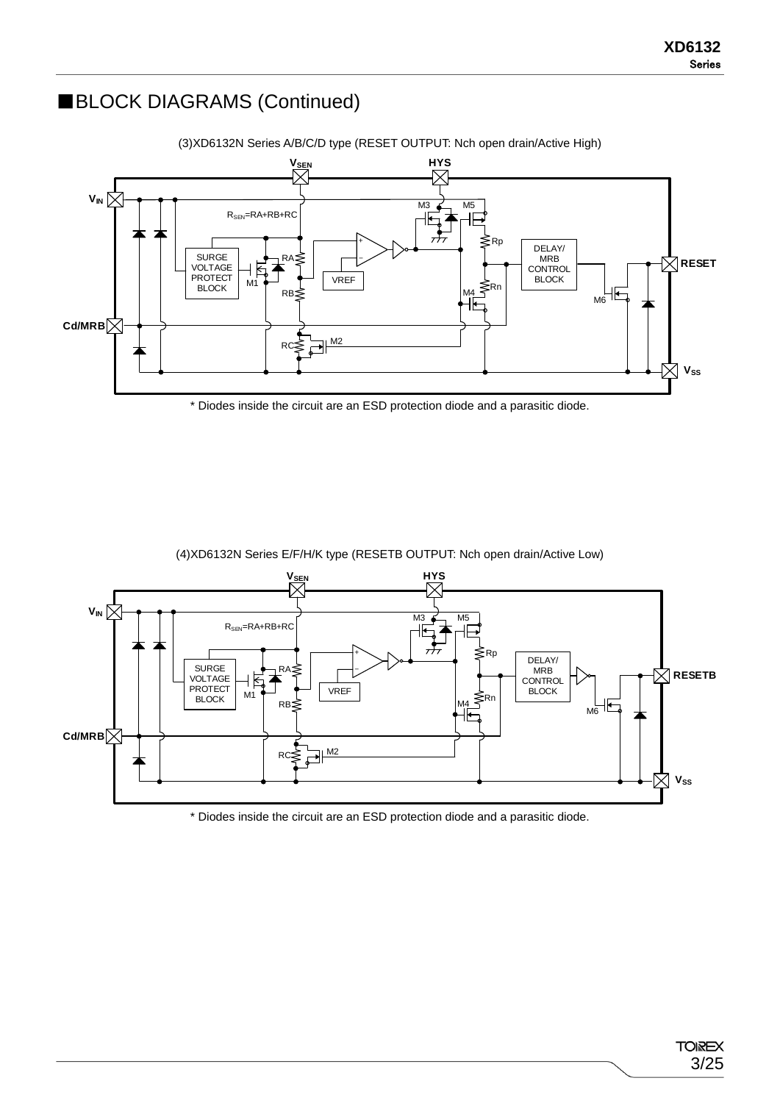### ■BLOCK DIAGRAMS (Continued)



\* Diodes inside the circuit are an ESD protection diode and a parasitic diode.



(4)XD6132N Series E/F/H/K type (RESETB OUTPUT: Nch open drain/Active Low)

\* Diodes inside the circuit are an ESD protection diode and a parasitic diode.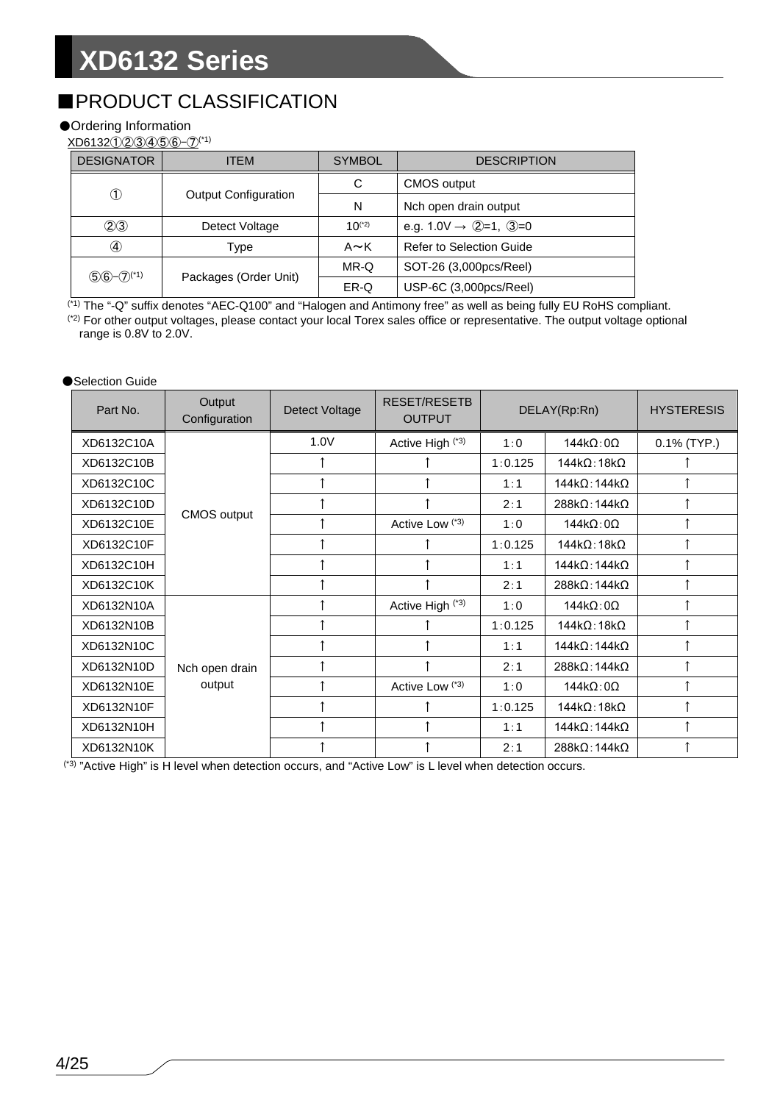### ■PRODUCT CLASSIFICATION

#### ●Ordering Information

XD6132①②③④⑤⑥-⑦(\*1)

| <b>DESIGNATOR</b> | <b>ITEM</b>                 | <b>SYMBOL</b>                                     | <b>DESCRIPTION</b>              |  |  |
|-------------------|-----------------------------|---------------------------------------------------|---------------------------------|--|--|
|                   |                             | C                                                 | <b>CMOS</b> output              |  |  |
| ➀                 | <b>Output Configuration</b> | N                                                 | Nch open drain output           |  |  |
| (2)3              | Detect Voltage              | e.g. $1.0V \rightarrow Q=1$ , $Q=0$<br>$10^{(*)}$ |                                 |  |  |
| $\left( 4\right)$ | Type                        | $A \sim K$                                        | <b>Refer to Selection Guide</b> |  |  |
|                   |                             | MR-Q                                              | SOT-26 (3,000pcs/Reel)          |  |  |
| $56 - 7^{(1)}$    | Packages (Order Unit)       | ER-Q                                              | USP-6C (3,000pcs/Reel)          |  |  |

(\*1) The "-Q" suffix denotes "AEC-Q100" and "Halogen and Antimony free" as well as being fully EU RoHS compliant. (\*2) For other output voltages, please contact your local Torex sales office or representative. The output voltage optional range is 0.8V to 2.0V.

#### ●Selection Guide

| Part No.   | Output<br>Configuration | Detect Voltage | <b>RESET/RESETB</b><br><b>OUTPUT</b> |         | DELAY(Rp:Rn)                 | <b>HYSTERESIS</b> |
|------------|-------------------------|----------------|--------------------------------------|---------|------------------------------|-------------------|
| XD6132C10A |                         | 1.0V           | Active High (*3)                     | 1:0     | $144k\Omega:0\Omega$         | $0.1\%$ (TYP.)    |
| XD6132C10B |                         |                |                                      | 1:0.125 | $144k\Omega$ : 18k $\Omega$  |                   |
| XD6132C10C |                         |                |                                      | 1:1     | $144k\Omega$ : 144k $\Omega$ |                   |
| XD6132C10D |                         | 1              |                                      | 2:1     | $288k\Omega$ : 144k $\Omega$ |                   |
| XD6132C10E | <b>CMOS output</b>      | 1              | Active Low <sup>(*3)</sup>           | 1:0     | $144k\Omega:0\Omega$         |                   |
| XD6132C10F |                         |                |                                      | 1:0.125 | $144k\Omega:18k\Omega$       |                   |
| XD6132C10H |                         |                |                                      | 1:1     | $144k\Omega$ : 144k $\Omega$ |                   |
| XD6132C10K |                         |                |                                      | 2:1     | $288k\Omega$ : 144k $\Omega$ |                   |
| XD6132N10A |                         |                | Active High (*3)                     | 1:0     | $144k\Omega:0\Omega$         |                   |
| XD6132N10B |                         |                |                                      | 1:0.125 | $144k\Omega$ : 18k $\Omega$  |                   |
| XD6132N10C |                         |                |                                      | 1:1     | $144k\Omega$ : 144k $\Omega$ |                   |
| XD6132N10D | Nch open drain          |                |                                      | 2:1     | $288k\Omega$ : 144 $k\Omega$ |                   |
| XD6132N10E | output                  |                | Active Low <sup>(*3)</sup>           | 1:0     | $144k\Omega:0\Omega$         |                   |
| XD6132N10F |                         |                |                                      | 1:0.125 | $144k\Omega$ : 18k $\Omega$  |                   |
| XD6132N10H |                         |                |                                      | 1:1     | $144k\Omega$ : 144k $\Omega$ |                   |
| XD6132N10K |                         |                |                                      | 2:1     | $288k\Omega$ : 144k $\Omega$ |                   |

(\*3) "Active High" is H level when detection occurs, and "Active Low" is L level when detection occurs.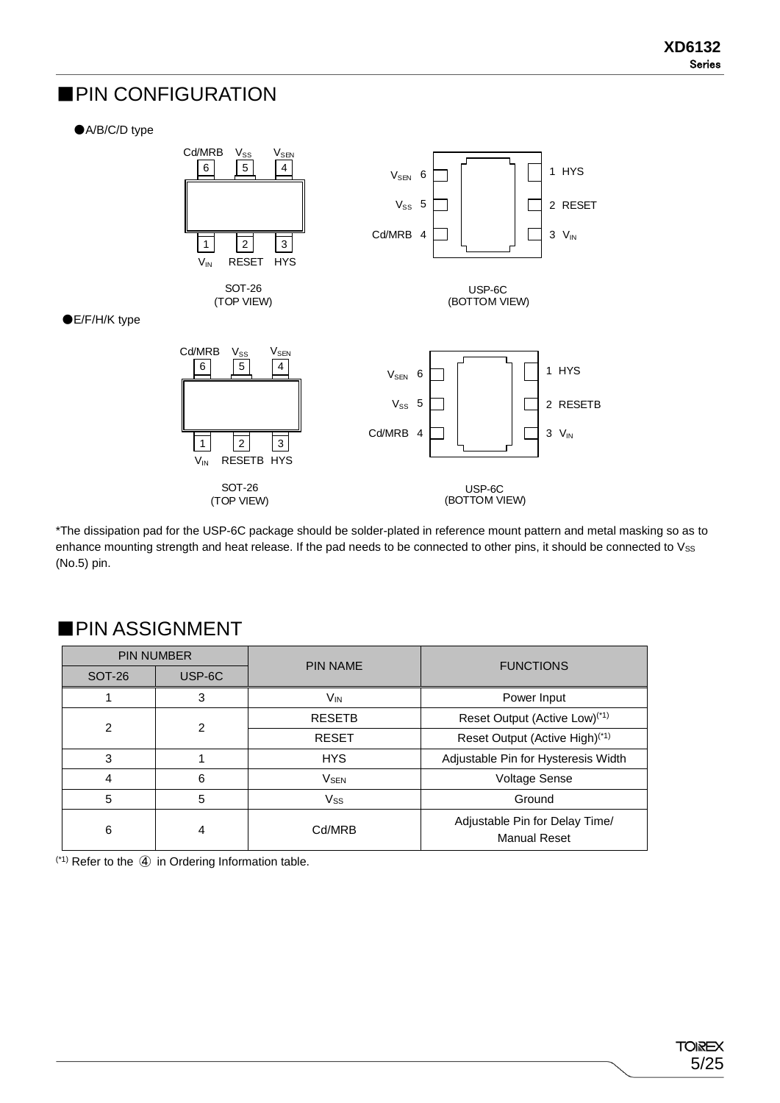#### ■PIN CONFIGURATION

●A/B/C/D type



\*The dissipation pad for the USP-6C package should be solder-plated in reference mount pattern and metal masking so as to enhance mounting strength and heat release. If the pad needs to be connected to other pins, it should be connected to Vss (No.5) pin.

|                | <b>PIN NUMBER</b> | <b>PIN NAME</b>        | <b>FUNCTIONS</b>                                      |  |  |
|----------------|-------------------|------------------------|-------------------------------------------------------|--|--|
| <b>SOT-26</b>  | USP-6C            |                        |                                                       |  |  |
|                | 3                 | V <sub>IN</sub>        | Power Input                                           |  |  |
| $\overline{2}$ | 2                 | <b>RESETB</b>          | Reset Output (Active Low) <sup>(*1)</sup>             |  |  |
|                |                   | <b>RESET</b>           | Reset Output (Active High) <sup>(*1)</sup>            |  |  |
| 3              |                   | <b>HYS</b>             | Adjustable Pin for Hysteresis Width                   |  |  |
| 4              | 6                 | <b>V<sub>SEN</sub></b> | <b>Voltage Sense</b>                                  |  |  |
| 5              | 5                 | <b>Vss</b>             | Ground                                                |  |  |
| 6              | 4                 | Cd/MRB                 | Adjustable Pin for Delay Time/<br><b>Manual Reset</b> |  |  |

#### ■PIN ASSIGNMENT

(\*1) Refer to the ④ in Ordering Information table.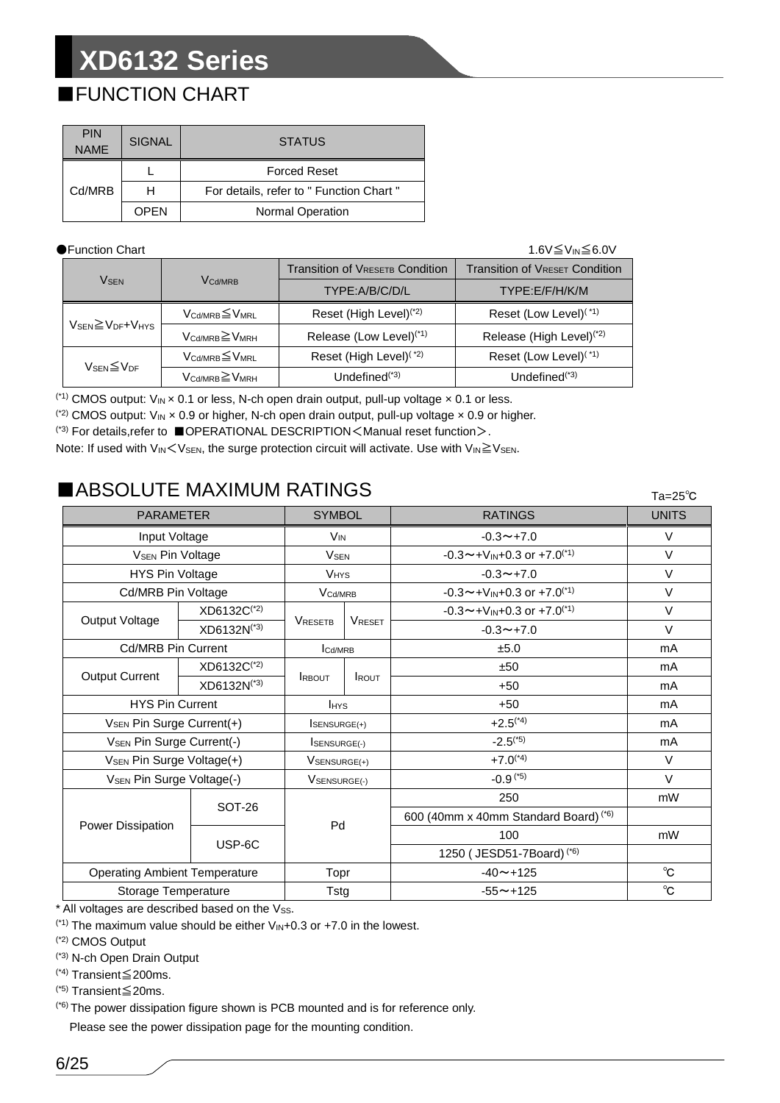### ■FUNCTION CHART

| <b>PIN</b><br><b>NAME</b> | <b>SIGNAL</b> | <b>STATUS</b>                            |
|---------------------------|---------------|------------------------------------------|
|                           |               | <b>Forced Reset</b>                      |
| Cd/MRB                    | н             | For details, refer to " Function Chart " |
|                           | OPEN          | <b>Normal Operation</b>                  |

#### ●Function Chart 1.6V≦VIN≦6.0V

|                                                      |                                         | <b>Transition of VRESETB Condition</b> | <b>Transition of VRESET Condition</b> |  |  |
|------------------------------------------------------|-----------------------------------------|----------------------------------------|---------------------------------------|--|--|
| <b>V<sub>SEN</sub></b>                               | <b>V<sub>Cd/MRB</sub></b>               | TYPE:A/B/C/D/L                         | TYPE:E/F/H/K/M                        |  |  |
|                                                      | $V_{\text{Cd/MRB}} \leq V_{\text{MRL}}$ | Reset (High Level) <sup>(*2)</sup>     | Reset (Low Level) <sup>(*1)</sup>     |  |  |
| $V_{\text{SEN}} \geq V_{\text{DF}} + V_{\text{HYS}}$ | $V_{\text{Cd/MRB}} \geq V_{\text{MRH}}$ | Release (Low Level) <sup>(*1)</sup>    | Release (High Level) <sup>(*2)</sup>  |  |  |
|                                                      | $V_{\text{Cd/MRB}} \leq V_{\text{MRL}}$ | Reset (High Level) <sup>(*2)</sup>     | Reset (Low Level) <sup>(*1)</sup>     |  |  |
| $V_{\text{SEN}}{\leq}V_{\text{DF}}$                  | $V_{\text{Cd/MRB}} \geq V_{\text{MRH}}$ | Undefined $(1, 3)$                     | Undefined $(1, 3)$                    |  |  |

<sup>(\*1)</sup> CMOS output:  $V_{IN} \times 0.1$  or less, N-ch open drain output, pull-up voltage  $\times 0.1$  or less.

<sup>(\*2)</sup> CMOS output:  $V_{IN} \times 0.9$  or higher, N-ch open drain output, pull-up voltage  $\times 0.9$  or higher.

(\*3) For details,refer to ■OPERATIONAL DESCRIPTION<Manual reset function>.

Note: If used with  $V_{IN}$   $\leq$  V<sub>SEN</sub>, the surge protection circuit will activate. Use with  $V_{IN} \geq V_{SEN}$ .

### ■ABSOLUTE MAXIMUM RATINGS

| IADƏULU I E İNAXIMUNI KATINGƏ         |               |                        |               | $Ta=25^\circ C$                         |              |
|---------------------------------------|---------------|------------------------|---------------|-----------------------------------------|--------------|
| <b>PARAMETER</b>                      |               | <b>SYMBOL</b>          |               | <b>RATINGS</b>                          | <b>UNITS</b> |
| Input Voltage                         |               | <b>V<sub>IN</sub></b>  |               | $-0.3 \rightarrow +7.0$                 | $\vee$       |
| <b>VSEN Pin Voltage</b>               |               | <b>V<sub>SEN</sub></b> |               | $-0.3 \sim +V_{IN}+0.3$ or $+7.0^{(1)}$ | $\vee$       |
| HYS Pin Voltage                       |               | <b>VHYS</b>            |               | $-0.3 \rightarrow +7.0$                 | $\vee$       |
| <b>Cd/MRB Pin Voltage</b>             |               | V <sub>Cd/MRB</sub>    |               | $-0.3 \sim +V_{IN}+0.3$ or $+7.0^{(1)}$ | V            |
| Output Voltage                        | XD6132C(*2)   | <b>VRESETB</b>         |               | $-0.3 \sim +V_{IN}+0.3$ or $+7.0^{(1)}$ | $\vee$       |
|                                       | XD6132N(*3)   |                        | <b>VRESET</b> | $-0.3 \rightarrow +7.0$                 | V            |
| <b>Cd/MRB Pin Current</b>             |               | Icd/MRB                |               | ±5.0                                    | mA           |
| <b>Output Current</b>                 | XD6132C(*2)   | <b>RBOUT</b>           |               | ±50                                     | mA           |
|                                       | XD6132N(*3)   |                        | <b>I</b> ROUT | $+50$                                   | mA           |
| <b>HYS Pin Current</b>                |               | <b>IHYS</b>            |               | $+50$                                   | mA           |
| V <sub>SEN</sub> Pin Surge Current(+) |               | <b>SENSURGE(+)</b>     |               | $+2.5$ <sup>(*4)</sup>                  | mA           |
| <b>VSEN Pin Surge Current(-)</b>      |               | <b>ISENSURGE(-)</b>    |               | $-2.5^{(5)}$                            | mA           |
| V <sub>SEN</sub> Pin Surge Voltage(+) |               | VSENSURGE(+)           |               | $+7.0^{(4)}$                            | $\vee$       |
| V <sub>SEN</sub> Pin Surge Voltage(-) |               | VSENSURGE(-)           |               | $-0.9$ (*5)                             | $\vee$       |
|                                       | <b>SOT-26</b> |                        |               | 250                                     | mW           |
|                                       |               | Pd                     |               | 600 (40mm x 40mm Standard Board) (*6)   |              |
| Power Dissipation                     | USP-6C        |                        |               | 100                                     | mW           |
|                                       |               |                        |               | 1250 (JESD51-7Board) <sup>(*6)</sup>    |              |
| <b>Operating Ambient Temperature</b>  |               | Topr                   |               | $-40 \sim +125$                         | $^{\circ}$ C |
| Storage Temperature                   |               | <b>Tstg</b>            |               | $-55 \sim +125$                         | $^{\circ}$ C |

 $*$  All voltages are described based on the  $V_{SS}$ .

 $(1)$ <sup>(\*1)</sup> The maximum value should be either  $V_{\text{IN}}+0.3$  or  $+7.0$  in the lowest.

(\*2) CMOS Output

(\*3) N-ch Open Drain Output

(\*4) Transient≦200ms.

(\*5) Transient≦20ms.

(\*6) The power dissipation figure shown is PCB mounted and is for reference only.

Please see the power dissipation page for the mounting condition.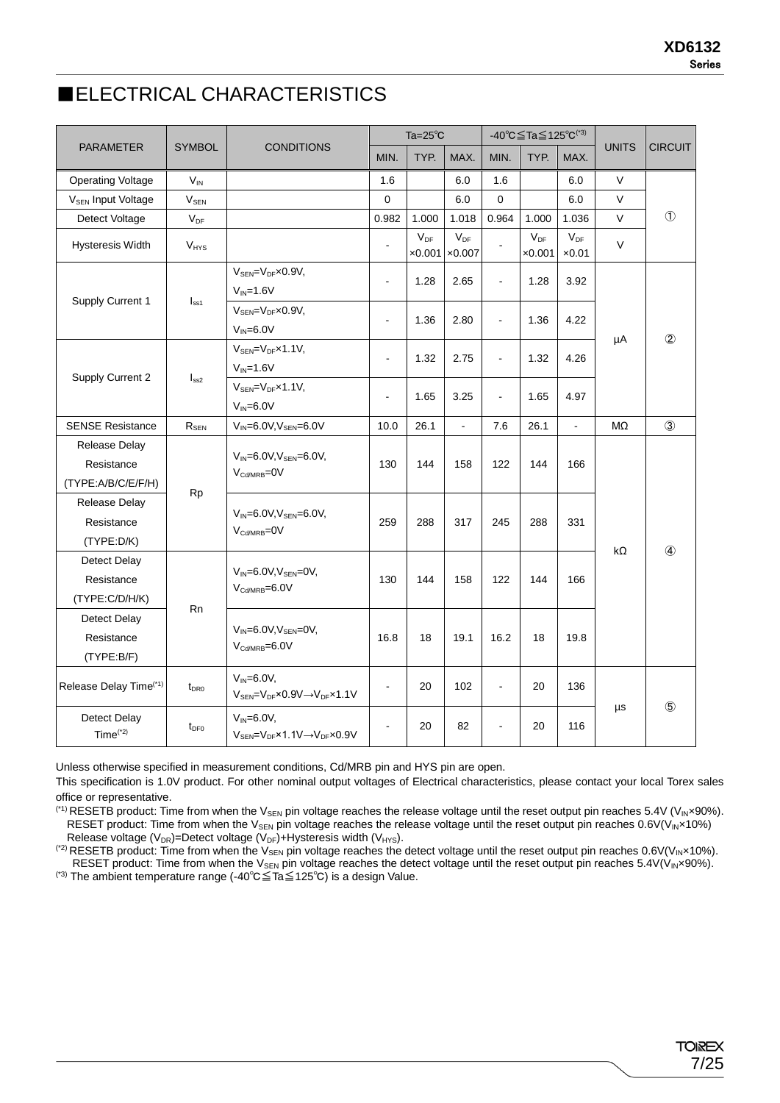#### ■ELECTRICAL CHARACTERISTICS

|                                                   |                  |                                                                                                           |                | Ta= $25^{\circ}$ C         |                            | $-40^{\circ}$ C $\leq$ Ta $\leq$ 125 $^{\circ}$ C <sup>(*3)</sup> |                            |                           |              |                |
|---------------------------------------------------|------------------|-----------------------------------------------------------------------------------------------------------|----------------|----------------------------|----------------------------|-------------------------------------------------------------------|----------------------------|---------------------------|--------------|----------------|
| <b>PARAMETER</b>                                  | <b>SYMBOL</b>    | <b>CONDITIONS</b>                                                                                         | MIN.           | TYP.                       | MAX.                       | MIN.                                                              | TYP.<br>MAX.               |                           | <b>UNITS</b> | <b>CIRCUIT</b> |
| <b>Operating Voltage</b>                          | $V_{IN}$         |                                                                                                           | 1.6            |                            | 6.0                        | 1.6                                                               |                            | 6.0                       | $\vee$       |                |
| <b>V<sub>SEN</sub></b> Input Voltage              | V <sub>SEN</sub> |                                                                                                           | $\mathbf 0$    |                            | 6.0                        | $\mathbf 0$                                                       |                            | 6.0                       | $\vee$       |                |
| Detect Voltage                                    | $V_{DF}$         |                                                                                                           | 0.982          | 1.000                      | 1.018                      | 0.964                                                             | 1.000                      | 1.036                     | $\vee$       | $\circled{1}$  |
| Hysteresis Width                                  | $V_{HYS}$        |                                                                                                           | $\blacksquare$ | $V_{DF}$<br>$\times 0.001$ | $V_{DF}$<br>$\times 0.007$ |                                                                   | $V_{DF}$<br>$\times 0.001$ | $V_{DF}$<br>$\times 0.01$ | $\vee$       |                |
| Supply Current 1                                  | $I_{ss1}$        | $V_{\text{SEN}} = V_{\text{DF}} \times 0.9 V$<br>$V_{IN} = 1.6V$                                          | $\blacksquare$ | 1.28                       | 2.65                       | $\blacksquare$                                                    | 1.28                       | 3.92                      |              |                |
|                                                   |                  | $V_{\text{SEN}} = V_{\text{DF}} \times 0.9 V$ ,<br>$V_{IN} = 6.0V$                                        | $\blacksquare$ | 1.36                       | 2.80                       | $\blacksquare$                                                    | 1.36                       | 4.22                      | μA           | $^{\circledR}$ |
| Supply Current 2                                  |                  | $V_{SEN} = V_{DF} \times 1.1 V$ ,<br>$V_{IN} = 1.6V$                                                      | $\overline{a}$ | 1.32                       | 2.75                       | ä,                                                                | 1.32                       | 4.26                      |              |                |
|                                                   | I <sub>ss2</sub> | $V_{\text{SEN}} = V_{\text{DF}} \times 1.1 V$<br>$V_{IN} = 6.0V$                                          | $\blacksquare$ | 1.65                       | 3.25                       | $\blacksquare$                                                    | 1.65                       | 4.97                      |              |                |
| <b>SENSE Resistance</b>                           | $R_{SEN}$        | $V_{IN} = 6.0V, V_{SEN} = 6.0V$                                                                           | 10.0           | 26.1                       | ä,                         | 7.6                                                               | 26.1                       | $\blacksquare$            | MΩ           | $\circled{3}$  |
| Release Delay<br>Resistance<br>(TYPE:A/B/C/E/F/H) |                  | $V_{IN} = 6.0 V, V_{SEN} = 6.0 V,$<br>$V_{\text{Cd/MRB}} = 0V$                                            | 130            | 144                        | 158                        | 122                                                               | 144                        | 166                       |              |                |
| Release Delay<br>Resistance<br>(TYPE:D/K)         | Rp               | $V_{IN} = 6.0 V, V_{SEN} = 6.0 V,$<br>$V_{\text{Cd/MRB}} = 0V$                                            | 259            | 288                        | 317                        | 245                                                               | 288                        | 331                       | $k\Omega$    | $\circled{4}$  |
| Detect Delay<br>Resistance<br>(TYPE:C/D/H/K)      | <b>Rn</b>        | $V_{IN} = 6.0V$ , $V_{SEN} = 0V$ ,<br>$V_{\text{Cd/MRB}} = 6.0V$                                          | 130            | 144                        | 158                        | 122                                                               | 144                        | 166                       |              |                |
| <b>Detect Delay</b><br>Resistance<br>(TYPE:B/F)   |                  | $V_{IN} = 6.0V$ , $V_{SEN} = 0V$ ,<br>$V_{\text{Cd/MRB}} = 6.0V$                                          | 16.8           | 18                         | 19.1                       | 16.2                                                              | 18                         | 19.8                      |              |                |
| Release Delay Time <sup>(*1)</sup>                | $t_{\text{DRO}}$ | $V_{IN} = 6.0V$ ,<br>$V_{\text{SEN}} = V_{\text{DF}} \times 0.9 V \rightarrow V_{\text{DF}} \times 1.1 V$ | $\blacksquare$ | 20                         | 102                        | ÷                                                                 | 20                         | 136                       |              |                |
| Detect Delay<br>$Time(*2)$                        | $t_{DF0}$        | $V_{IN} = 6.0V,$<br>$V_{\text{SEN}} = V_{\text{DF}} \times 1.1 V \rightarrow V_{\text{DF}} \times 0.9 V$  | $\blacksquare$ | 20                         | 82                         | ÷,                                                                | 20                         | $\mu s$<br>116            | $\circledS$  |                |

Unless otherwise specified in measurement conditions, Cd/MRB pin and HYS pin are open.

This specification is 1.0V product. For other nominal output voltages of Electrical characteristics, please contact your local Torex sales office or representative.

 $(1)$  RESETB product: Time from when the V<sub>SEN</sub> pin voltage reaches the release voltage until the reset output pin reaches 5.4V (V<sub>IN</sub>×90%). RESET product: Time from when the V<sub>SEN</sub> pin voltage reaches the release voltage until the reset output pin reaches 0.6V(V<sub>IN</sub>×10%) Release voltage ( $V_{DR}$ )=Detect voltage ( $V_{DF}$ )+Hysteresis width ( $V_{HYS}$ ).

 $(2)$  RESETB product: Time from when the V<sub>SEN</sub> pin voltage reaches the detect voltage until the reset output pin reaches 0.6V(V<sub>IN</sub>×10%). RESET product: Time from when the V<sub>SEN</sub> pin voltage reaches the detect voltage until the reset output pin reaches  $5.4V(V_{IN} \times 90\%).$ 

(\*3) The ambient temperature range (-40℃≦Ta≦125℃) is a design Value.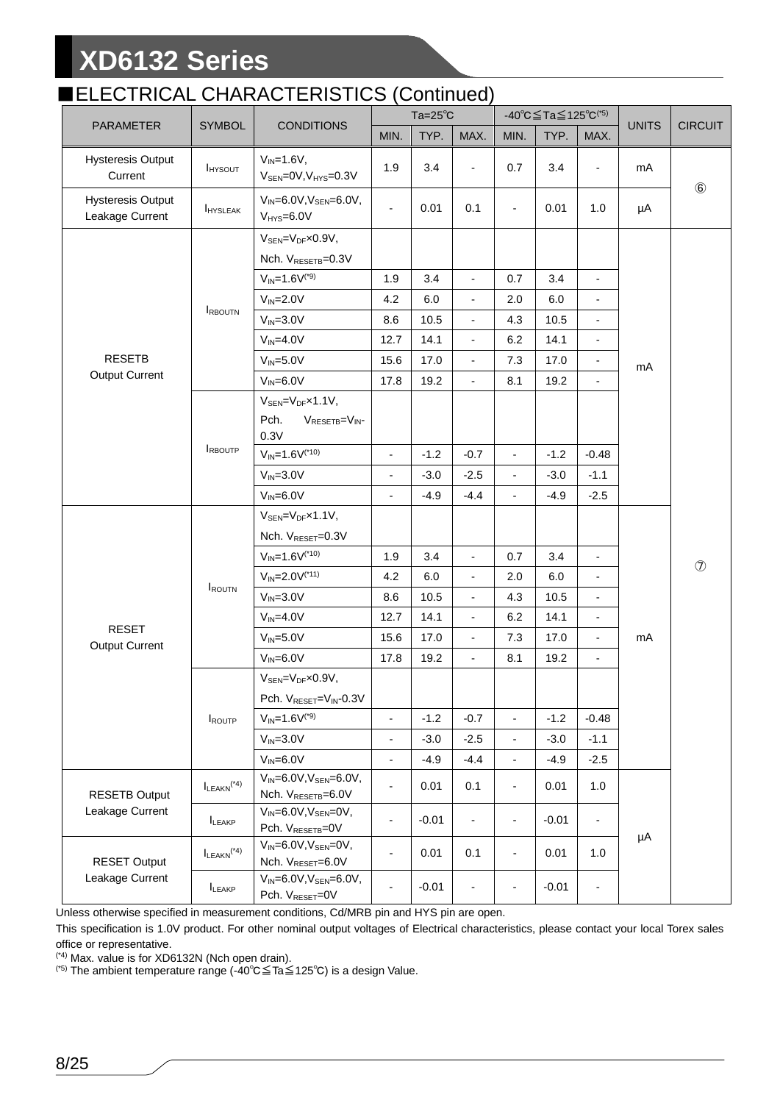#### ■ELECTRICAL CHARACTERISTICS (Continued)

|                                             |                             |                                                                                 |                          | Ta= $25^{\circ}$ C |                              | -40°C≦Ta≦125°C(*5)       |         |                          |              |                |
|---------------------------------------------|-----------------------------|---------------------------------------------------------------------------------|--------------------------|--------------------|------------------------------|--------------------------|---------|--------------------------|--------------|----------------|
| PARAMETER                                   | <b>SYMBOL</b>               | <b>CONDITIONS</b>                                                               | MIN.                     | TYP.               | MAX.                         | MIN.                     | TYP.    | MAX.                     | <b>UNITS</b> | <b>CIRCUIT</b> |
| <b>Hysteresis Output</b><br>Current         | <b>I</b> HYSOUT             | $V_{IN} = 1.6V$ ,<br>$V_{\text{SEN}} = 0V, V_{\text{HYS}} = 0.3V$               | 1.9                      | 3.4                | $\overline{\phantom{a}}$     | 0.7                      | 3.4     | $\overline{\phantom{a}}$ | mA           | $\circledast$  |
| <b>Hysteresis Output</b><br>Leakage Current | <b>HYSLEAK</b>              | $V_{IN} = 6.0 V, V_{SEN} = 6.0 V,$<br>$V_{HYS}=6.0V$                            | $\overline{\phantom{a}}$ | 0.01               | 0.1                          | $\overline{\phantom{0}}$ | 0.01    | 1.0                      | μA           |                |
|                                             |                             | $V_{\text{SEN}} = V_{\text{DF}} \times 0.9 V$ ,<br>Nch. VRESETB=0.3V            |                          |                    |                              |                          |         |                          |              |                |
|                                             |                             | $V_{IN} = 1.6V^{(*)}$                                                           | 1.9                      | 3.4                | $\overline{\phantom{a}}$     | 0.7                      | 3.4     | $\overline{\phantom{a}}$ |              |                |
|                                             |                             | $V_{IN} = 2.0V$                                                                 | 4.2                      | 6.0                | $\overline{\phantom{a}}$     | 2.0                      | 6.0     |                          |              |                |
|                                             | <b>RBOUTN</b>               | $V_{IN} = 3.0V$                                                                 | 8.6                      | 10.5               | $\overline{\phantom{a}}$     | 4.3                      | 10.5    |                          |              |                |
|                                             |                             | $V_{IN} = 4.0V$                                                                 | 12.7                     | 14.1               | ÷.                           | 6.2                      | 14.1    |                          |              |                |
| <b>RESETB</b>                               |                             | $V_{IN} = 5.0V$                                                                 | 15.6                     | 17.0               | $\overline{\phantom{a}}$     | 7.3                      | 17.0    |                          | mA           |                |
| <b>Output Current</b>                       |                             | $V_{IN} = 6.0V$                                                                 | 17.8                     | 19.2               | ÷.                           | 8.1                      | 19.2    | $\overline{\phantom{0}}$ |              |                |
|                                             |                             | $V_{\text{SEN}} = V_{\text{DF}} \times 1.1 V$ ,<br>Pch.<br>VRESETB=VIN-<br>0.3V |                          |                    |                              |                          |         |                          |              |                |
|                                             | <b>IRBOUTP</b>              | $V_{IN} = 1.6V^{(*10)}$                                                         | $\overline{\phantom{0}}$ | $-1.2$             | $-0.7$                       | $\overline{\phantom{a}}$ | $-1.2$  | $-0.48$                  |              |                |
|                                             |                             | $V_{IN} = 3.0V$                                                                 | $\overline{\phantom{0}}$ | $-3.0$             | $-2.5$                       | $\frac{1}{2}$            | $-3.0$  | $-1.1$                   |              |                |
|                                             |                             | $V_{IN} = 6.0V$                                                                 | $\overline{\phantom{0}}$ | $-4.9$             | $-4.4$                       | $\blacksquare$           | $-4.9$  | $-2.5$                   |              |                |
|                                             |                             | $V_{\text{SEN}} = V_{\text{DF}} \times 1.1 V$ ,<br>Nch. VRESET=0.3V             |                          |                    |                              |                          |         |                          |              |                |
|                                             |                             | $V_{IN} = 1.6V^{(*10)}$                                                         | 1.9                      | 3.4                | $\overline{\phantom{a}}$     | 0.7                      | 3.4     |                          |              |                |
|                                             |                             | $V_{IN} = 2.0V^{(*11)}$                                                         | 4.2                      | 6.0                | $\overline{\phantom{a}}$     | 2.0                      | 6.0     | $\overline{\phantom{a}}$ |              | $\circledcirc$ |
|                                             | <b>IROUTN</b>               | $V_{IN} = 3.0V$                                                                 | 8.6                      | 10.5               | $\overline{\phantom{a}}$     | 4.3                      | 10.5    | $\blacksquare$           |              |                |
|                                             |                             | $V_{IN} = 4.0V$                                                                 | 12.7                     | 14.1               | ÷.                           | 6.2                      | 14.1    | $\overline{\phantom{a}}$ |              |                |
| <b>RESET</b><br><b>Output Current</b>       |                             | $V_{IN} = 5.0V$                                                                 | 15.6                     | 17.0               | $\overline{\phantom{a}}$     | 7.3                      | 17.0    | $\overline{\phantom{a}}$ | mA           |                |
|                                             |                             | $V_{IN} = 6.0V$                                                                 | 17.8                     | 19.2               | $\overline{\phantom{a}}$     | 8.1                      | 19.2    | $\overline{\phantom{a}}$ |              |                |
|                                             |                             | $V_{\text{SEN}} = V_{\text{DF}} \times 0.9 V$ ,                                 |                          |                    |                              |                          |         |                          |              |                |
|                                             |                             | Pch. V <sub>RESET</sub> =V <sub>IN</sub> -0.3V                                  |                          |                    |                              |                          |         |                          |              |                |
|                                             | ROUTP                       | $V_{IN} = 1.6V^{(*)}$                                                           | $\frac{1}{2}$            | $-1.2$             | $-0.7$                       | $\blacksquare$           | $-1.2$  | $-0.48$                  |              |                |
|                                             |                             | $V_{IN} = 3.0V$                                                                 | $\overline{\phantom{0}}$ | $-3.0$             | $-2.5$                       | $\overline{\phantom{a}}$ | $-3.0$  | $-1.1$                   |              |                |
|                                             | $V_{IN} = 6.0V$             | $\overline{\phantom{a}}$                                                        | $-4.9$                   | $-4.4$             | $\qquad \qquad \blacksquare$ | $-4.9$                   | $-2.5$  |                          |              |                |
| <b>RESETB Output</b>                        | $I_{LEAKN}$ <sup>(*4)</sup> | $V_{IN} = 6.0 V, V_{SEN} = 6.0 V,$<br>Nch. V <sub>RESETB</sub> =6.0V            | $\overline{\phantom{a}}$ | 0.01               | 0.1                          | $\overline{\phantom{0}}$ | 0.01    | 1.0                      |              |                |
| Leakage Current                             | LEAKP                       | $V_{IN} = 6.0V, V_{SEN} = 0V,$<br>Pch. V <sub>RESETB</sub> =0V                  | $\overline{\phantom{0}}$ | $-0.01$            | $\overline{\phantom{a}}$     | $\overline{\phantom{a}}$ | $-0.01$ | $\overline{\phantom{0}}$ | μA           |                |
| <b>RESET Output</b>                         | $I_{LEAKN}$ <sup>(*4)</sup> | $V_{IN} = 6.0V, V_{SEN} = 0V,$<br>Nch. VRESET=6.0V                              | $\overline{\phantom{a}}$ | 0.01               | 0.1                          | $\blacksquare$           | 0.01    | 1.0                      |              |                |
| Leakage Current                             | LEAKP                       | $V_{IN} = 6.0 V, V_{SEN} = 6.0 V,$<br>Pch. VRESET=0V                            |                          | $-0.01$            | $\overline{\phantom{a}}$     | $\overline{a}$           | $-0.01$ |                          |              |                |

Unless otherwise specified in measurement conditions, Cd/MRB pin and HYS pin are open.

This specification is 1.0V product. For other nominal output voltages of Electrical characteristics, please contact your local Torex sales office or representative.

(\*4) Max. value is for XD6132N (Nch open drain).

(\*5) The ambient temperature range (-40℃≦Ta≦125℃) is a design Value.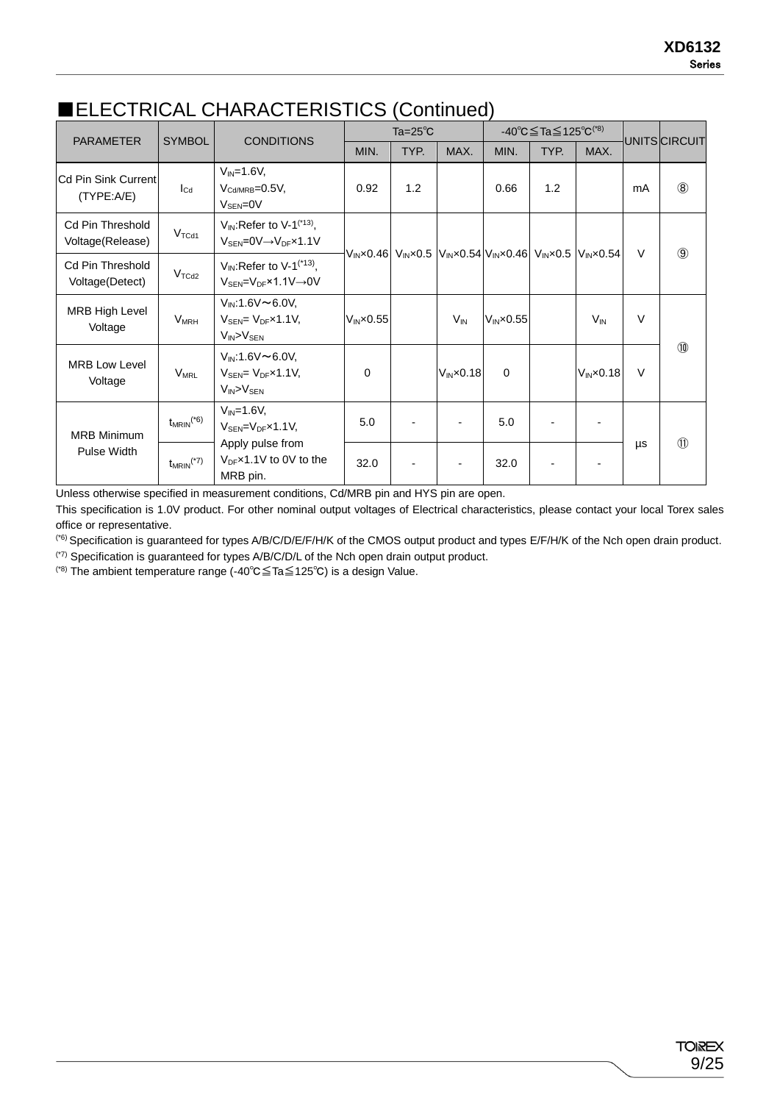|                                            |                            |                                                                                                                   |                                                                                         | Ta= $25^{\circ}$ C |                      |                      | $-40^{\circ}$ C $\leq$ Ta $\leq$ 125 $^{\circ}$ C $^{(*)}$ |                        |              |               |
|--------------------------------------------|----------------------------|-------------------------------------------------------------------------------------------------------------------|-----------------------------------------------------------------------------------------|--------------------|----------------------|----------------------|------------------------------------------------------------|------------------------|--------------|---------------|
| <b>PARAMETER</b>                           | <b>SYMBOL</b>              | <b>CONDITIONS</b>                                                                                                 | MIN.                                                                                    | TYP.               | MAX.                 | MIN.                 | TYP.                                                       | MAX.                   |              | UNITS CIRCUIT |
| <b>Cd Pin Sink Current</b><br>(TYPE:A/E)   | $I_{\text{Cd}}$            | $V_{IN} = 1.6V$ ,<br>$V_{\text{Cd/MRB}} = 0.5V$ ,<br>$V_{\rm SEN} = 0V$                                           | 0.92                                                                                    | 1.2                |                      | 0.66                 | 1.2                                                        |                        | mA           | (8)           |
| Cd Pin Threshold<br>Voltage(Release)       | V <sub>TCd1</sub>          | $V_{IN}$ : Refer to V-1 <sup>(*13)</sup> ,<br>$V_{\text{SEN}} = 0 \vee \rightarrow V_{\text{DF}} \times 1.1 \vee$ |                                                                                         |                    |                      |                      |                                                            |                        | $\vee$       | $\circled{9}$ |
| <b>Cd Pin Threshold</b><br>Voltage(Detect) | V <sub>TCd2</sub>          | $V_{IN}$ : Refer to V-1 <sup>(*13)</sup> ,<br>$V_{SEN} = V_{DF} \times 1.1 V \rightarrow 0 V$                     | $V_{IN}$ x0.46 $V_{IN}$ x0.5 $V_{IN}$ x0.54 $V_{IN}$ x0.46 $V_{IN}$ x0.5 $V_{IN}$ x0.54 |                    |                      |                      |                                                            |                        |              |               |
| <b>MRB High Level</b><br>Voltage           | V <sub>MRH</sub>           | $V_{IN}:1.6V \sim 6.0V$ .<br>$V_{\text{SEN}} = V_{\text{DF}} \times 1.1 V$ ,<br>$V_{IN} > V_{SEN}$                | $V_{IN}$ $\times$ 0.55                                                                  |                    | $V_{IN}$             | $V_{IN} \times 0.55$ |                                                            | $V_{IN}$               | V            |               |
| <b>MRB Low Level</b><br>Voltage            | $V_{MRL}$                  | $V_{IN}$ :1.6V ~ 6.0V,<br>$V_{\text{SEN}} = V_{\text{DF}} \times 1.1 V$<br>V <sub>IN</sub> >V <sub>SEN</sub>      | $\Omega$                                                                                |                    | $V_{IN} \times 0.18$ | $\Omega$             |                                                            | $V_{IN}$ $\times$ 0.18 | 10<br>$\vee$ |               |
| <b>MRB Minimum</b>                         | $t_{MRIN}$ <sup>(*6)</sup> | $V_{IN} = 1.6V$ ,<br>$V_{\text{SEN}}=V_{\text{DF}}\times 1.1 V$ ,                                                 | 5.0                                                                                     |                    | -                    | 5.0                  |                                                            |                        |              |               |
| <b>Pulse Width</b>                         | $t_{MRIN}$ <sup>(*7)</sup> | Apply pulse from<br>$V_{DF}$ x1.1V to 0V to the<br>MRB pin.                                                       | 32.0                                                                                    |                    |                      | 32.0                 |                                                            |                        | μs           | $\circled{1}$ |

#### ■ELECTRICAL CHARACTERISTICS (Continued)

Unless otherwise specified in measurement conditions, Cd/MRB pin and HYS pin are open.

This specification is 1.0V product. For other nominal output voltages of Electrical characteristics, please contact your local Torex sales office or representative.

(\*6) Specification is guaranteed for types A/B/C/D/E/F/H/K of the CMOS output product and types E/F/H/K of the Nch open drain product.

(\*7) Specification is guaranteed for types A/B/C/D/L of the Nch open drain output product.

(\*8) The ambient temperature range (-40℃≦Ta≦125℃) is a design Value.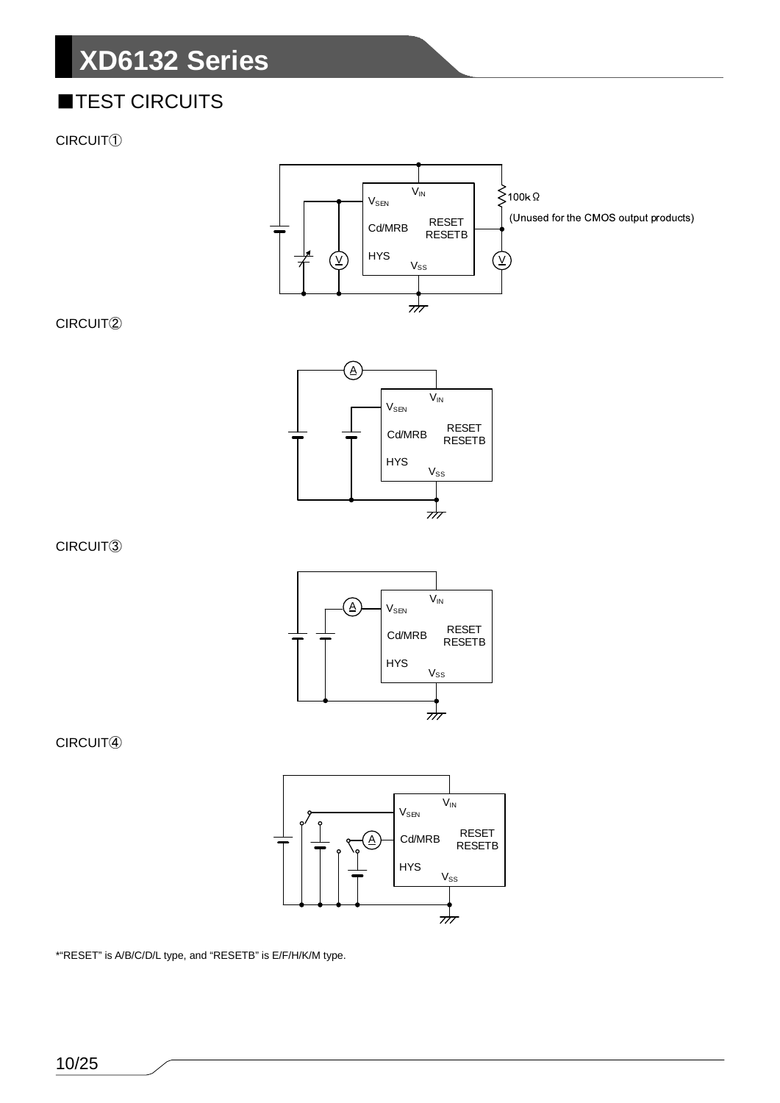### ■TEST CIRCUITS

CIRCUIT①



#### CIRCUIT②



CIRCUIT③



CIRCUIT④



\*"RESET" is A/B/C/D/L type, and "RESETB" is E/F/H/K/M type.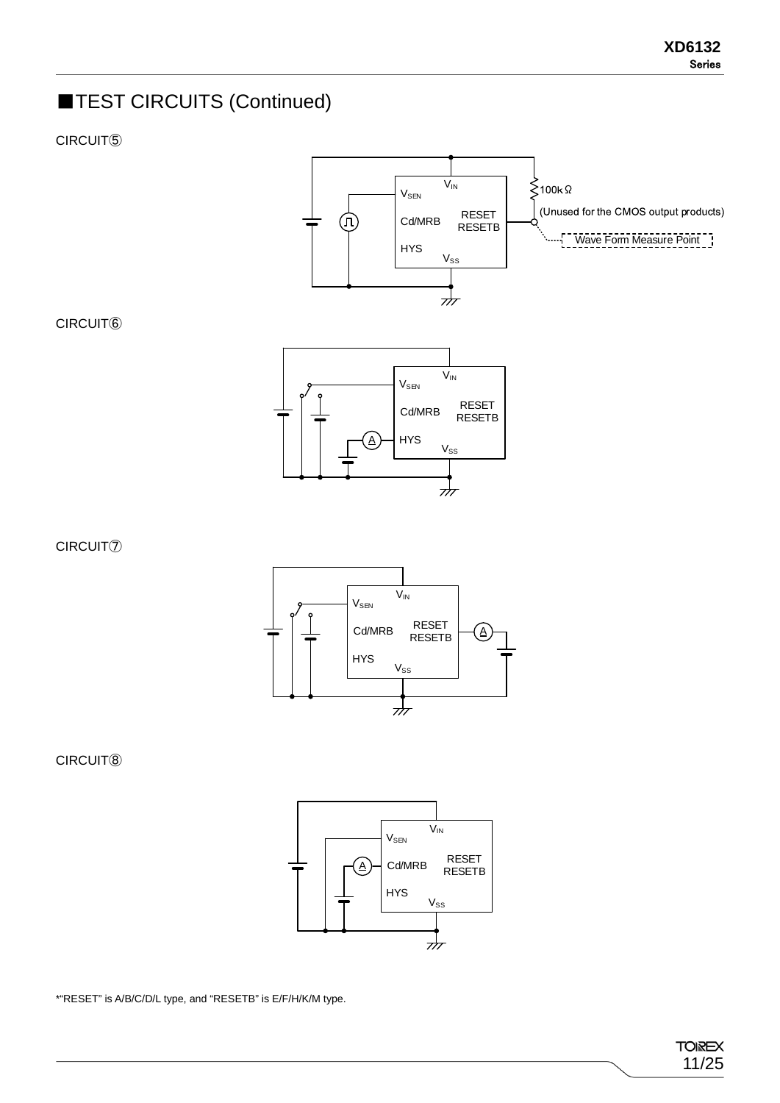### **TEST CIRCUITS (Continued)**

CIRCUIT⑤

CIRCUIT⑥



#### $\mathsf{V}_{\mathsf{IN}}$  $V_{\text{SEN}}$ RESET Cd/MRB RESETB HYS A  $V_{SS}$ 777

CIRCUIT⑦



CIRCUIT⑧



\*"RESET" is A/B/C/D/L type, and "RESETB" is E/F/H/K/M type.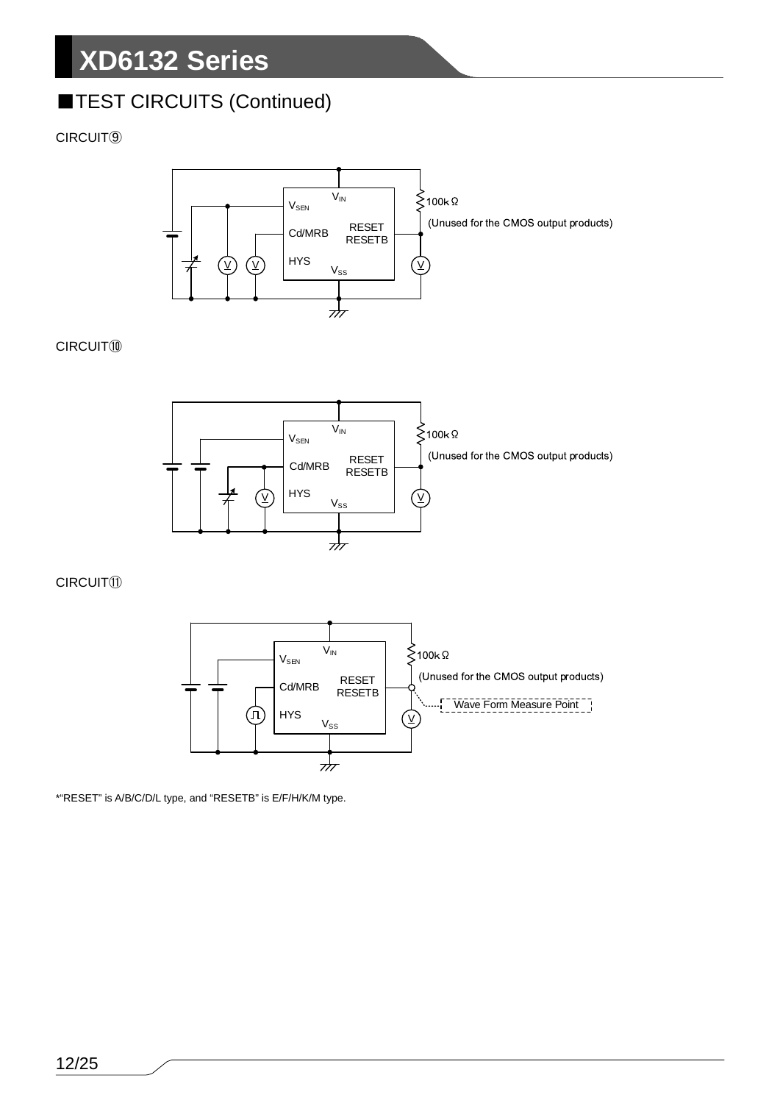### **TEST CIRCUITS (Continued)**

#### CIRCUIT⑨



#### CIRCUIT⑩



#### CIRCUIT⑪



\*"RESET" is A/B/C/D/L type, and "RESETB" is E/F/H/K/M type.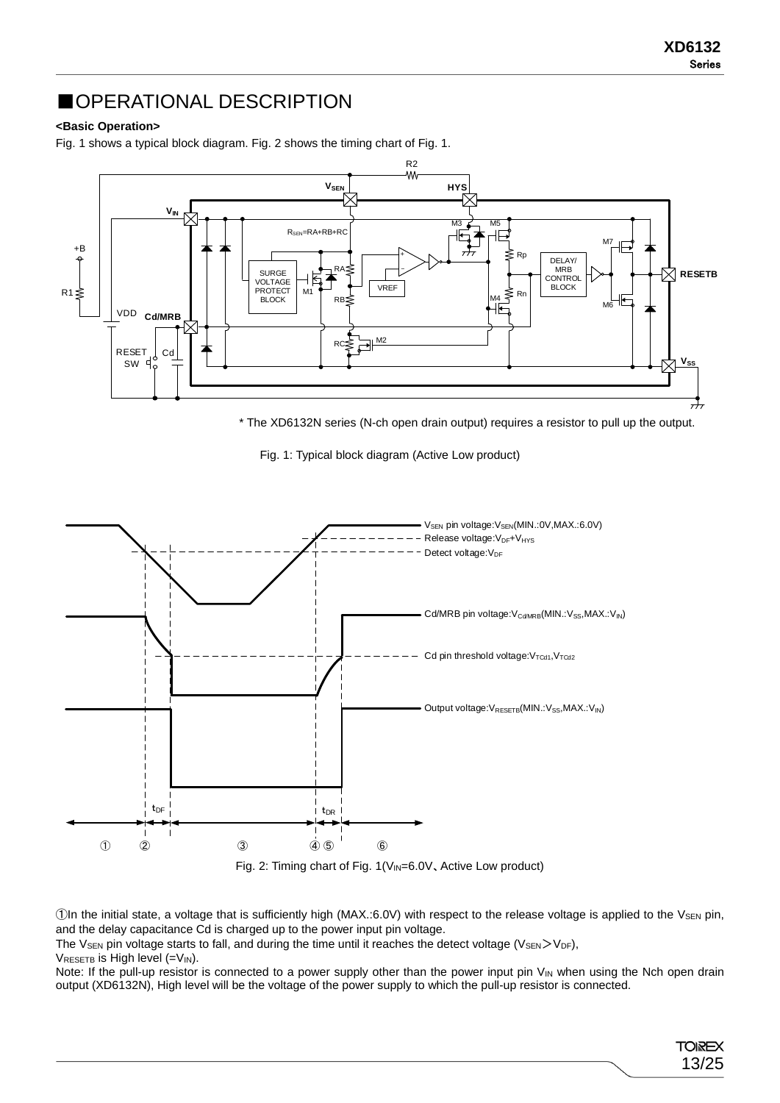13/25

**TOIREX** 

### ■OPERATIONAL DESCRIPTION

#### **<Basic Operation>**

Fig. 1 shows a typical block diagram. Fig. 2 shows the timing chart of Fig. 1.



\* The XD6132N series (N-ch open drain output) requires a resistor to pull up the output.

Fig. 1: Typical block diagram (Active Low product)



 $\Box$ In the initial state, a voltage that is sufficiently high (MAX.:6.0V) with respect to the release voltage is applied to the V $_{\rm{SEN}}$  pin, and the delay capacitance Cd is charged up to the power input pin voltage.

The V<sub>SEN</sub> pin voltage starts to fall, and during the time until it reaches the detect voltage (V<sub>SEN</sub>>V<sub>DF</sub>),

 $V_{RESETB}$  is High level (= $V_{IN}$ ).

Note: If the pull-up resistor is connected to a power supply other than the power input pin  $V_{IN}$  when using the Nch open drain output (XD6132N), High level will be the voltage of the power supply to which the pull-up resistor is connected.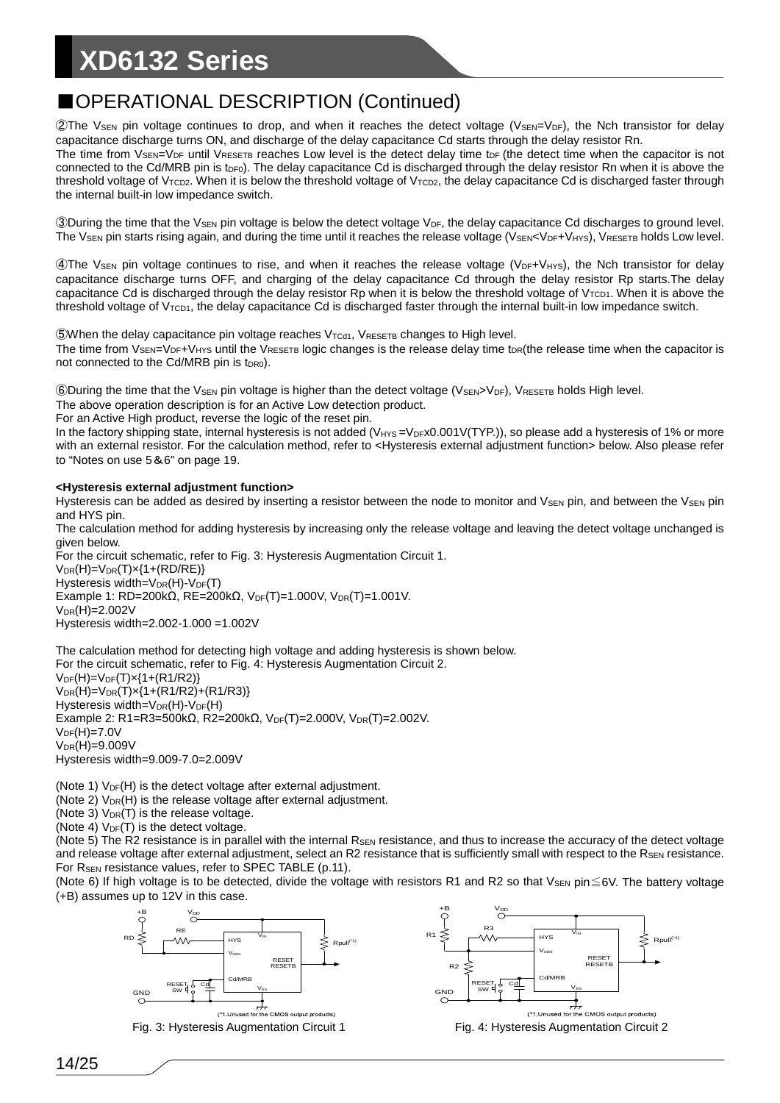### ■OPERATIONAL DESCRIPTION (Continued)

 $2$ The V<sub>SEN</sub> pin voltage continues to drop, and when it reaches the detect voltage (V<sub>SEN</sub>=V<sub>DF</sub>), the Nch transistor for delay capacitance discharge turns ON, and discharge of the delay capacitance Cd starts through the delay resistor Rn.

The time from  $V_{\text{SEN}}$ = $V_{\text{DF}}$  until  $V_{\text{RESETB}}$  reaches Low level is the detect delay time t<sub>DF</sub> (the detect time when the capacitor is not connected to the Cd/MRB pin is t<sub>DF0</sub>). The delay capacitance Cd is discharged through the delay resistor Rn when it is above the threshold voltage of V<sub>TCD2</sub>. When it is below the threshold voltage of V<sub>TCD2</sub>, the delay capacitance Cd is discharged faster through the internal built-in low impedance switch.

③During the time that the VSEN pin voltage is below the detect voltage VDF, the delay capacitance Cd discharges to ground level. The VsEN pin starts rising again, and during the time until it reaches the release voltage (VsEN<VDF+VHYS), VRESETB holds Low level.

④The VSEN pin voltage continues to rise, and when it reaches the release voltage (VDF+VHYS), the Nch transistor for delay capacitance discharge turns OFF, and charging of the delay capacitance Cd through the delay resistor Rp starts.The delay capacitance Cd is discharged through the delay resistor Rp when it is below the threshold voltage of V<sub>TCD1</sub>. When it is above the threshold voltage of V<sub>TCD1</sub>, the delay capacitance Cd is discharged faster through the internal built-in low impedance switch.

 $\mathbb{S}$ When the delay capacitance pin voltage reaches  $V_{\text{Tcd1}}$ ,  $V_{\text{RESETB}}$  changes to High level. The time from  $V_{\text{SEN}}=V_{\text{DF}}+V_{\text{HYS}}$  until the  $V_{\text{RESETB}}$  logic changes is the release delay time t<sub>DR</sub>(the release time when the capacitor is not connected to the Cd/MRB pin is t<sub>DR0</sub>).

 $©$  During the time that the V<sub>SEN</sub> pin voltage is higher than the detect voltage (V<sub>SEN</sub>>V<sub>DF</sub>), V<sub>RESETB</sub> holds High level.

The above operation description is for an Active Low detection product.

For an Active High product, reverse the logic of the reset pin.

In the factory shipping state, internal hysteresis is not added ( $V_{HYS} = V_{DF}x0.001V(TYP)$ ), so please add a hysteresis of 1% or more with an external resistor. For the calculation method, refer to <Hysteresis external adjustment function> below. Also please refer to "Notes on use 5&6" on page 19.

#### **<Hysteresis external adjustment function>**

Hysteresis can be added as desired by inserting a resistor between the node to monitor and V<sub>SEN</sub> pin, and between the V<sub>SEN</sub> pin and HYS pin.

The calculation method for adding hysteresis by increasing only the release voltage and leaving the detect voltage unchanged is given below.

For the circuit schematic, refer to Fig. 3: Hysteresis Augmentation Circuit 1.  $V_{DR}(H)=V_{DR}(T)x(1+(RD/RE))$ Hysteresis width= $V_{DR}(H)-V_{DF}(T)$ Example 1: RD=200kΩ, RE=200kΩ, VDF(T)=1.000V, VDR(T)=1.001V.  $V_{DR}(H)=2.002V$ Hysteresis width=2.002-1.000 =1.002V

The calculation method for detecting high voltage and adding hysteresis is shown below. For the circuit schematic, refer to Fig. 4: Hysteresis Augmentation Circuit 2.  $V_{DF}(H)=V_{DF}(T)x(1+(R1/R2))$  $V_{DR}(H)=V_{DR}(T)x(1+(R1/R2)+(R1/R3))$ Hysteresis width= $V_{DR}(H)-V_{DF}(H)$ Example 2: R1=R3=500kΩ, R2=200kΩ, V<sub>DF</sub>(T)=2.000V, V<sub>DR</sub>(T)=2.002V.  $V_{DF}(H) = 7.0V$  $V_{DR}(H)=9.009V$ Hysteresis width=9.009-7.0=2.009V

(Note 1)  $V_{DF}(H)$  is the detect voltage after external adjustment.

(Note 2)  $V_{DR}(H)$  is the release voltage after external adjustment.

(Note 3)  $V_{DR}(T)$  is the release voltage.

(Note 4)  $V_{DF}(T)$  is the detect voltage.

(Note 5) The R2 resistance is in parallel with the internal R<sub>SEN</sub> resistance, and thus to increase the accuracy of the detect voltage and release voltage after external adjustment, select an R2 resistance that is sufficiently small with respect to the  $R_{\text{SEN}}$  resistance. For R<sub>SEN</sub> resistance values, refer to SPEC TABLE (p.11).

(Note 6) If high voltage is to be detected, divide the voltage with resistors R1 and R2 so that  $V_{SEN}$  pin $\leq$ 6V. The battery voltage (+B) assumes up to 12V in this case.





Fig. 3: Hysteresis Augmentation Circuit 1 Fig. 4: Hysteresis Augmentation Circuit 2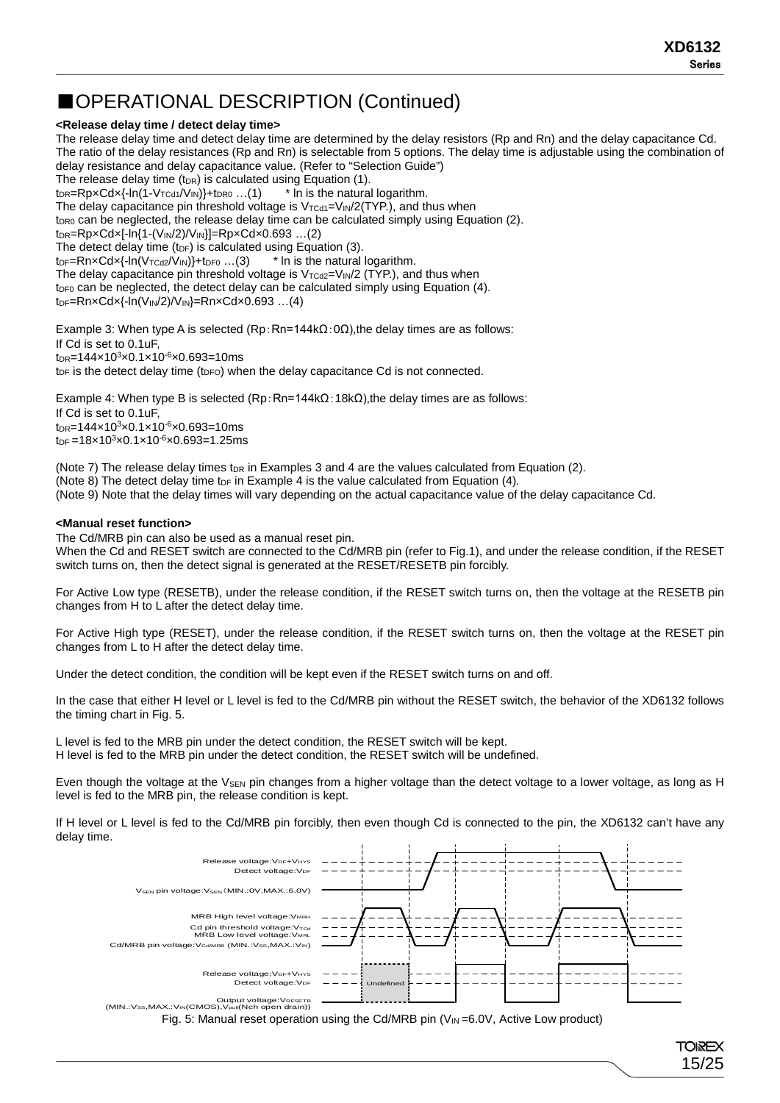#### ■OPERATIONAL DESCRIPTION (Continued)

#### **<Release delay time / detect delay time>**

The release delay time and detect delay time are determined by the delay resistors (Rp and Rn) and the delay capacitance Cd. The ratio of the delay resistances (Rp and Rn) is selectable from 5 options. The delay time is adjustable using the combination of delay resistance and delay capacitance value. (Refer to "Selection Guide") The release delay time (tore) is calculated using Equation (1).<br>  $t_{DR} = RpxCdx{-ln(1-V_{TCd1}/V_{IN})}+t_{DR0} \dots (1)$  \* In is the natural logarithm.  $t_{DR}$ =Rp×Cd×{-ln(1-V<sub>TCd1</sub>/V<sub>IN</sub>)}+ $t_{DR0}$  ...(1) The delay capacitance pin threshold voltage is  $V_{\text{TCd1}}=V_{\text{IN}}/2(\text{TYP.})$ , and thus when  $t_{DR0}$  can be neglected, the release delay time can be calculated simply using Equation (2).  $t_{DR} = RpxCdx[-ln{1-(V_{IN}/2)/V_{IN}}] = RpxCdx0.693$  ...(2) The detect delay time (t<sub>DF</sub>) is calculated using Equation (3).  $t_{DF}$ =RnxCdx{-ln(V<sub>TCd2</sub>/V<sub>IN</sub>)}+t<sub>DF0</sub> ...(3)  $*$  In is the natural logarithm. The delay capacitance pin threshold voltage is  $V_{TCd2}=V_{IN}/2$  (TYP.), and thus when  $t_{DF0}$  can be neglected, the detect delay can be calculated simply using Equation (4).  $t_{DF}$ =Rn×Cd×{-ln(V<sub>IN</sub>/2)/V<sub>IN</sub>}=Rn×Cd×0.693 ...(4)

Example 3: When type A is selected  $(\text{Rp:Rn=144k}\Omega:0\Omega)$ , the delay times are as follows: If Cd is set to 0.1uF, t<sub>DR</sub>=144×10<sup>3</sup>×0.1×10<sup>-6</sup>×0.693=10ms  $t_{DF}$  is the detect delay time ( $t_{DFO}$ ) when the delay capacitance Cd is not connected.

Example 4: When type B is selected  $(Rp:Rn=144kΩ:18kΩ)$ , the delay times are as follows: If Cd is set to 0.1uF, t<sub>DR</sub>=144×10<sup>3</sup>×0.1×10<sup>-6</sup>×0.693=10ms  $tp_F = 18 \times 10^3 \times 0.1 \times 10^{-6} \times 0.693 = 1.25$ ms

(Note 7) The release delay times t<sub>DR</sub> in Examples 3 and 4 are the values calculated from Equation (2). (Note 8) The detect delay time t<sub>DF</sub> in Example 4 is the value calculated from Equation  $(4)$ . (Note 9) Note that the delay times will vary depending on the actual capacitance value of the delay capacitance Cd.

#### **<Manual reset function>**

The Cd/MRB pin can also be used as a manual reset pin. When the Cd and RESET switch are connected to the Cd/MRB pin (refer to Fig.1), and under the release condition, if the RESET switch turns on, then the detect signal is generated at the RESET/RESETB pin forcibly.

For Active Low type (RESETB), under the release condition, if the RESET switch turns on, then the voltage at the RESETB pin changes from H to L after the detect delay time.

For Active High type (RESET), under the release condition, if the RESET switch turns on, then the voltage at the RESET pin changes from L to H after the detect delay time.

Under the detect condition, the condition will be kept even if the RESET switch turns on and off.

In the case that either H level or L level is fed to the Cd/MRB pin without the RESET switch, the behavior of the XD6132 follows the timing chart in Fig. 5.

L level is fed to the MRB pin under the detect condition, the RESET switch will be kept. H level is fed to the MRB pin under the detect condition, the RESET switch will be undefined.

Even though the voltage at the V<sub>SEN</sub> pin changes from a higher voltage than the detect voltage to a lower voltage, as long as H level is fed to the MRB pin, the release condition is kept.

If H level or L level is fed to the Cd/MRB pin forcibly, then even though Cd is connected to the pin, the XD6132 can't have any delay time.



Fig. 5: Manual reset operation using the Cd/MRB pin  $(V_{IN} = 6.0 V,$  Active Low product)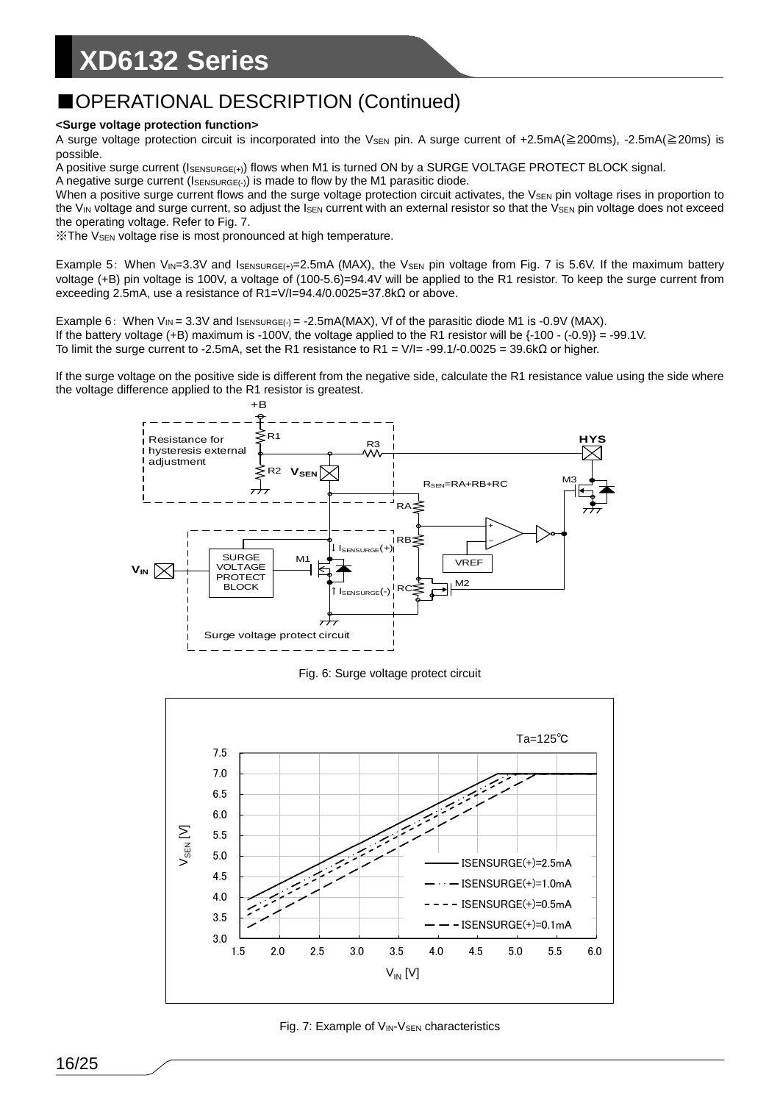### ■OPERATIONAL DESCRIPTION (Continued)

#### **<Surge voltage protection function>**

A surge voltage protection circuit is incorporated into the V<sub>SEN</sub> pin. A surge current of +2.5mA(≧200ms), -2.5mA(≧20ms) is possible.

A positive surge current (ISENSURGE(+)) flows when M1 is turned ON by a SURGE VOLTAGE PROTECT BLOCK signal.

A negative surge current ( $I_{\text{SENSURGE}(\cdot)}$ ) is made to flow by the M1 parasitic diode.

When a positive surge current flows and the surge voltage protection circuit activates, the V<sub>SEN</sub> pin voltage rises in proportion to the  $V_{IN}$  voltage and surge current, so adjust the  $I_{SEN}$  current with an external resistor so that the  $V_{SEN}$  pin voltage does not exceed the operating voltage. Refer to Fig. 7.

※The VSEN voltage rise is most pronounced at high temperature.

Example 5: When  $V_{IN}=3.3V$  and  $I_{SENSURE(+)}=2.5mA$  (MAX), the V<sub>SEN</sub> pin voltage from Fig. 7 is 5.6V. If the maximum battery voltage (+B) pin voltage is 100V, a voltage of (100-5.6)=94.4V will be applied to the R1 resistor. To keep the surge current from exceeding 2.5mA, use a resistance of R1=V/I=94.4/0.0025=37.8kΩ or above.

Example 6: When  $V_{IN} = 3.3V$  and  $I_{SENSURGE(\cdot)} = -2.5mA(MAX)$ , Vf of the parasitic diode M1 is -0.9V (MAX). If the battery voltage (+B) maximum is -100V, the voltage applied to the R1 resistor will be {-100 - (-0.9)} = -99.1V. To limit the surge current to -2.5mA, set the R1 resistance to R1 = V/I= -99.1/-0.0025 = 39.6kΩ or higher.

If the surge voltage on the positive side is different from the negative side, calculate the R1 resistance value using the side where the voltage difference applied to the R1 resistor is greatest.



Fig. 6: Surge voltage protect circuit



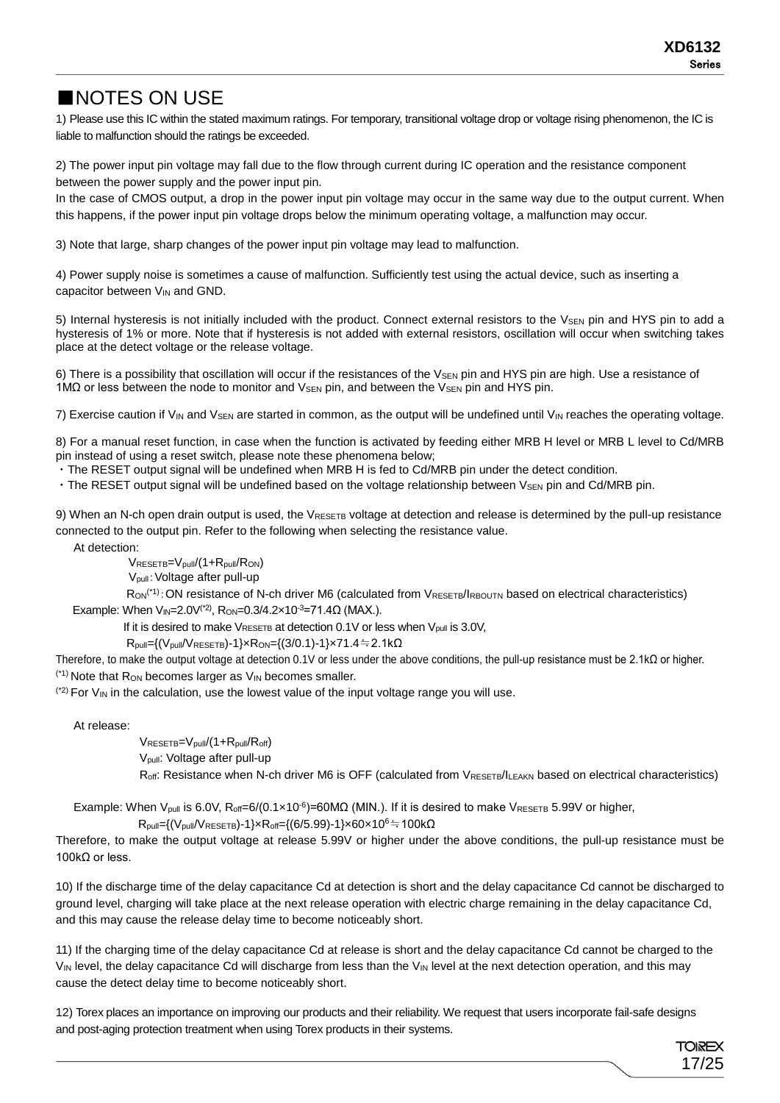### ■NOTES ON USE

1) Please use this IC within the stated maximum ratings. For temporary, transitional voltage drop or voltage rising phenomenon, the IC is liable to malfunction should the ratings be exceeded.

2) The power input pin voltage may fall due to the flow through current during IC operation and the resistance component between the power supply and the power input pin.

In the case of CMOS output, a drop in the power input pin voltage may occur in the same way due to the output current. When this happens, if the power input pin voltage drops below the minimum operating voltage, a malfunction may occur.

3) Note that large, sharp changes of the power input pin voltage may lead to malfunction.

4) Power supply noise is sometimes a cause of malfunction. Sufficiently test using the actual device, such as inserting a capacitor between V<sub>IN</sub> and GND.

5) Internal hysteresis is not initially included with the product. Connect external resistors to the V<sub>SEN</sub> pin and HYS pin to add a hysteresis of 1% or more. Note that if hysteresis is not added with external resistors, oscillation will occur when switching takes place at the detect voltage or the release voltage.

6) There is a possibility that oscillation will occur if the resistances of the V<sub>SEN</sub> pin and HYS pin are high. Use a resistance of 1MΩ or less between the node to monitor and V<sub>SEN</sub> pin, and between the V<sub>SEN</sub> pin and HYS pin.

7) Exercise caution if  $V_{IN}$  and  $V_{SEN}$  are started in common, as the output will be undefined until  $V_{IN}$  reaches the operating voltage.

8) For a manual reset function, in case when the function is activated by feeding either MRB H level or MRB L level to Cd/MRB pin instead of using a reset switch, please note these phenomena below;

・The RESET output signal will be undefined when MRB H is fed to Cd/MRB pin under the detect condition.

 $\cdot$  The RESET output signal will be undefined based on the voltage relationship between  $V_{\text{SEN}}$  pin and Cd/MRB pin.

9) When an N-ch open drain output is used, the  $V_{RESETB}$  voltage at detection and release is determined by the pull-up resistance connected to the output pin. Refer to the following when selecting the resistance value.

At detection:

VRESETB=Vpull/(1+Rpull/RON)

Vpull:Voltage after pull-up

Ron<sup>(\*1)</sup>: ON resistance of N-ch driver M6 (calculated from VRESETB/IRBOUTN based on electrical characteristics) Example: When V<sub>IN</sub>=2.0V<sup>(\*2)</sup>, R<sub>ON</sub>=0.3/4.2×10<sup>-3</sup>=71.4Ω (MAX.).

If it is desired to make  $V_{RESETB}$  at detection 0.1V or less when  $V_{pull}$  is 3.0V,

 $R_{pull}=\{(V_{pull}/V_{RESETB})-1\} \times R_{ON}=\{(3/0.1)-1\} \times 71.4=2.1 \, \text{k}\Omega$ 

Therefore, to make the output voltage at detection 0.1V or less under the above conditions, the pull-up resistance must be 2.1kΩ or higher.  $(1)$  Note that R<sub>ON</sub> becomes larger as  $V_{IN}$  becomes smaller.

 $(2)$  For V<sub>IN</sub> in the calculation, use the lowest value of the input voltage range you will use.

At release:

VRESETB=Vpull/(1+Rpull/Roff) Vpull: Voltage after pull-up Roff: Resistance when N-ch driver M6 is OFF (calculated from VRESETB/ILEAKN based on electrical characteristics)

Example: When V<sub>pull</sub> is 6.0V, R<sub>off</sub>=6/(0.1×10<sup>-6</sup>)=60MΩ (MIN.). If it is desired to make VRESETB 5.99V or higher,

 $R_{pull}=\{(V_{pull}/V_{RESETB})-1\} \times R_{off}=\{(6/5.99)-1\} \times 60 \times 10^6 \doteqdot 100 \ \text{k}\Omega$ 

Therefore, to make the output voltage at release 5.99V or higher under the above conditions, the pull-up resistance must be 100kΩ or less.

10) If the discharge time of the delay capacitance Cd at detection is short and the delay capacitance Cd cannot be discharged to ground level, charging will take place at the next release operation with electric charge remaining in the delay capacitance Cd, and this may cause the release delay time to become noticeably short.

11) If the charging time of the delay capacitance Cd at release is short and the delay capacitance Cd cannot be charged to the VIN level, the delay capacitance Cd will discharge from less than the VIN level at the next detection operation, and this may cause the detect delay time to become noticeably short.

12) Torex places an importance on improving our products and their reliability. We request that users incorporate fail-safe designs and post-aging protection treatment when using Torex products in their systems.

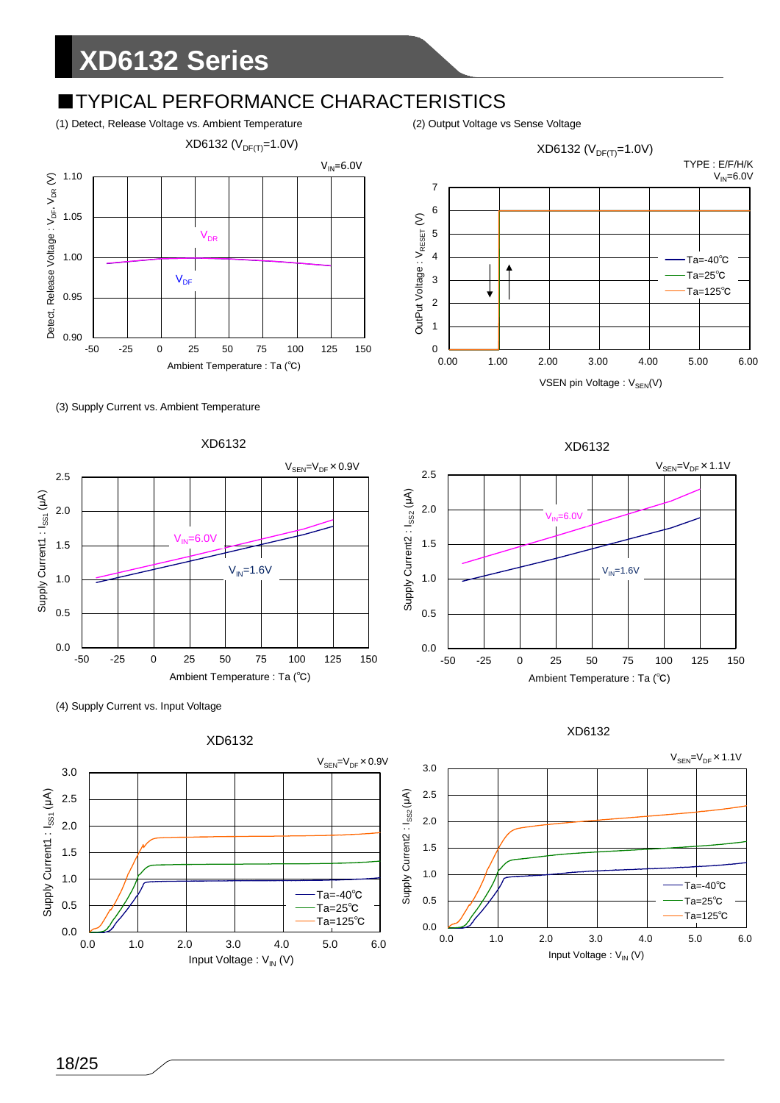### **TYPICAL PERFORMANCE CHARACTERISTICS**

(1) Detect, Release Voltage vs. Ambient Temperature (2) Output Voltage vs Sense Voltage



(3) Supply Current vs. Ambient Temperature









XD6132  $V_{\text{SEN}}=V_{\text{DF}}\times 1.1V$ 2.5 Supply Current2 : I<sub>ss2</sub> (µA) Supply Current2 : I<sub>SS2</sub> ( $\mu$ A) 2.0  $\overline{6}$  OV 1.5  $V_{IN}$ =1.6V 1.0 0.5 0.0 -50 -25 0 25 50 75 100 125 150 Ambient Temperature : Ta (℃)



XD6132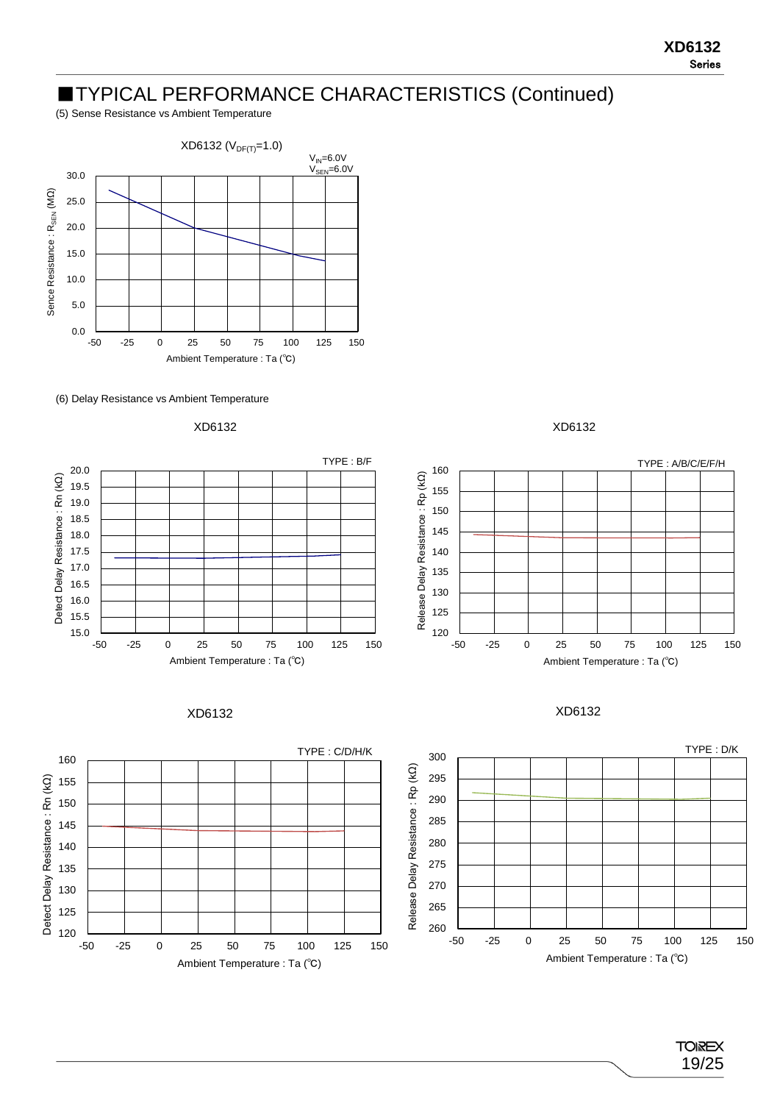#### ■TYPICAL PERFORMANCE CHARACTERISTICS (Continued)

(5) Sense Resistance vs Ambient Temperature



(6) Delay Resistance vs Ambient Temperature













XD6132



**TOIREX** 19/25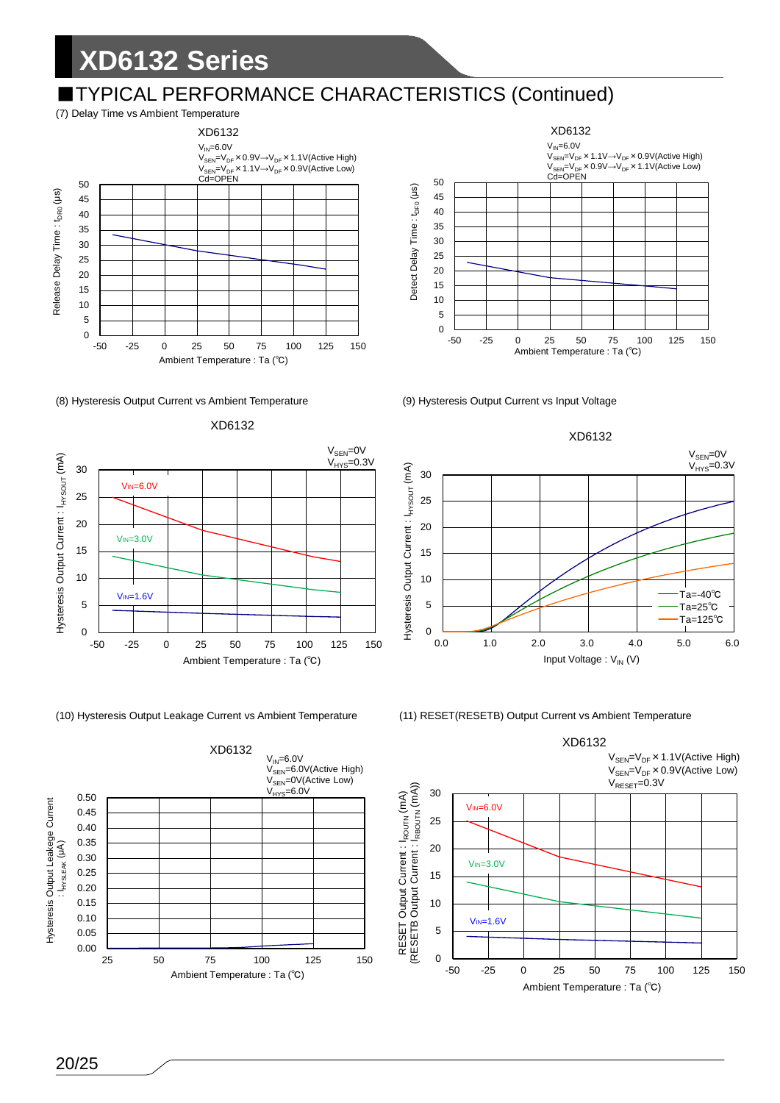### ■TYPICAL PERFORMANCE CHARACTERISTICS (Continued)



#### (8) Hysteresis Output Current vs Ambient Temperature (9) Hysteresis Output Current vs Input Voltage



(10) Hysteresis Output Leakage Current vs Ambient Temperature (11) RESET(RESETB) Output Current vs Ambient Temperature









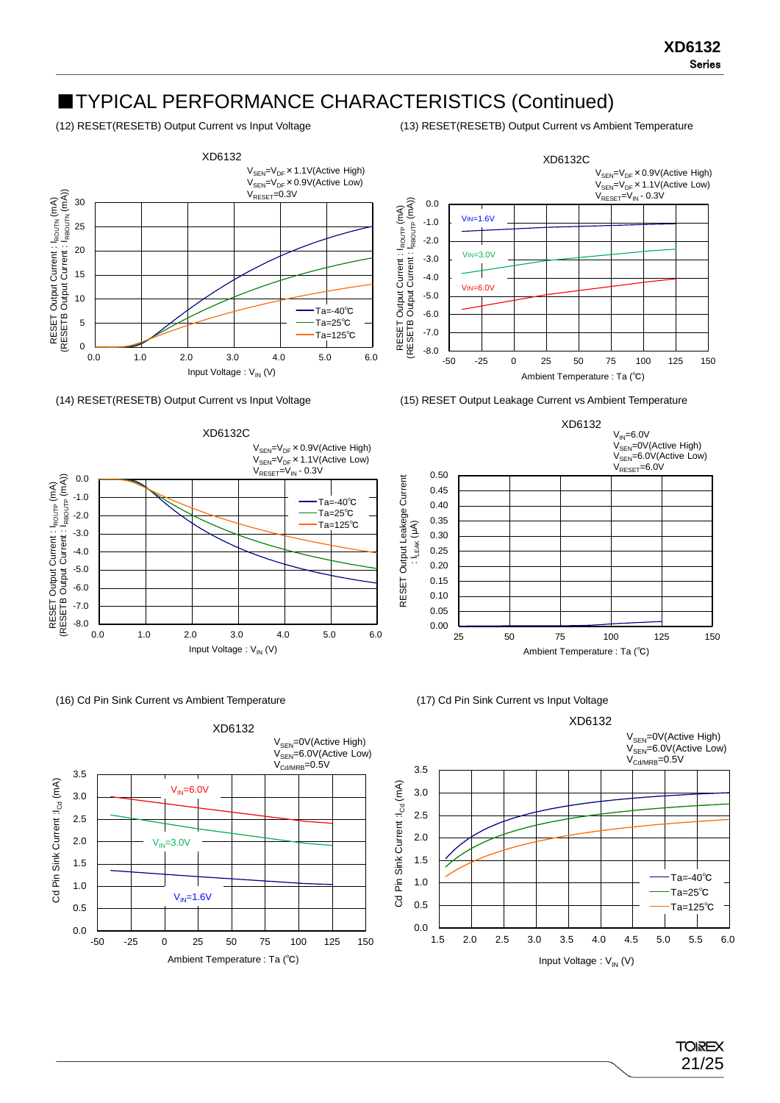### ■TYPICAL PERFORMANCE CHARACTERISTICS (Continued)

(12) RESET(RESETB) Output Current vs Input Voltage (13) RESET(RESETB) Output Current vs Ambient Temperature

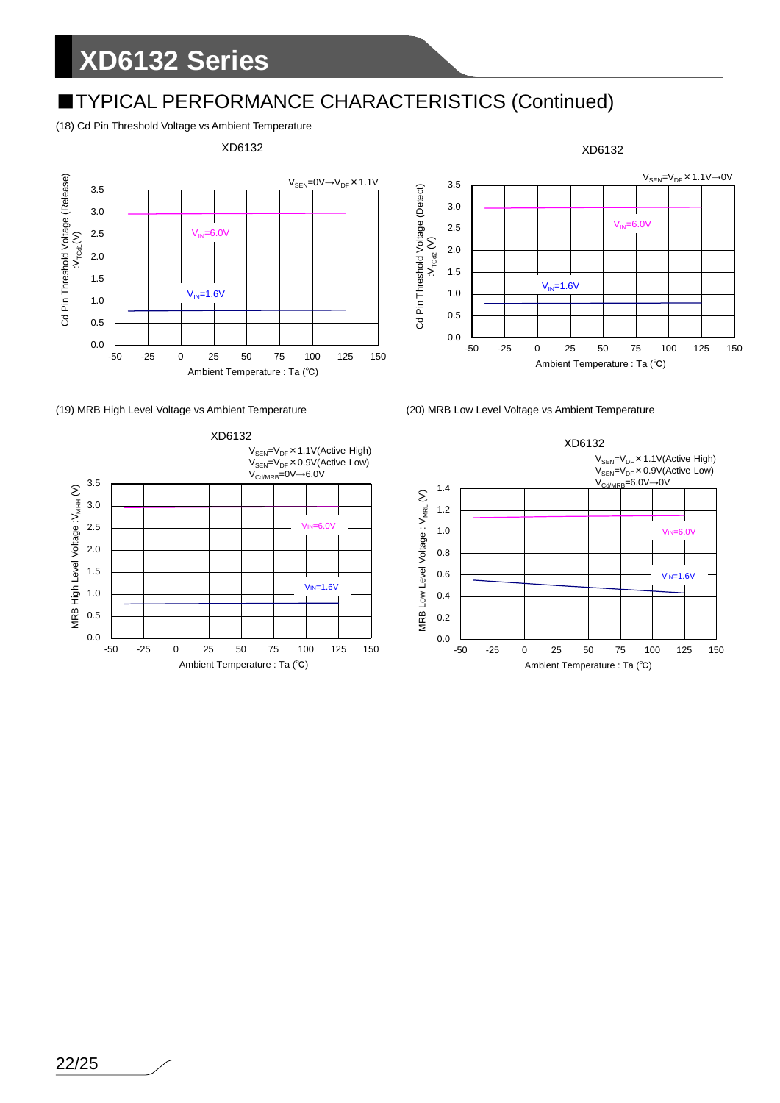### ■TYPICAL PERFORMANCE CHARACTERISTICS (Continued)

(18) Cd Pin Threshold Voltage vs Ambient Temperature





XD6132



(19) MRB High Level Voltage vs Ambient Temperature (20) MRB Low Level Voltage vs Ambient Temperature

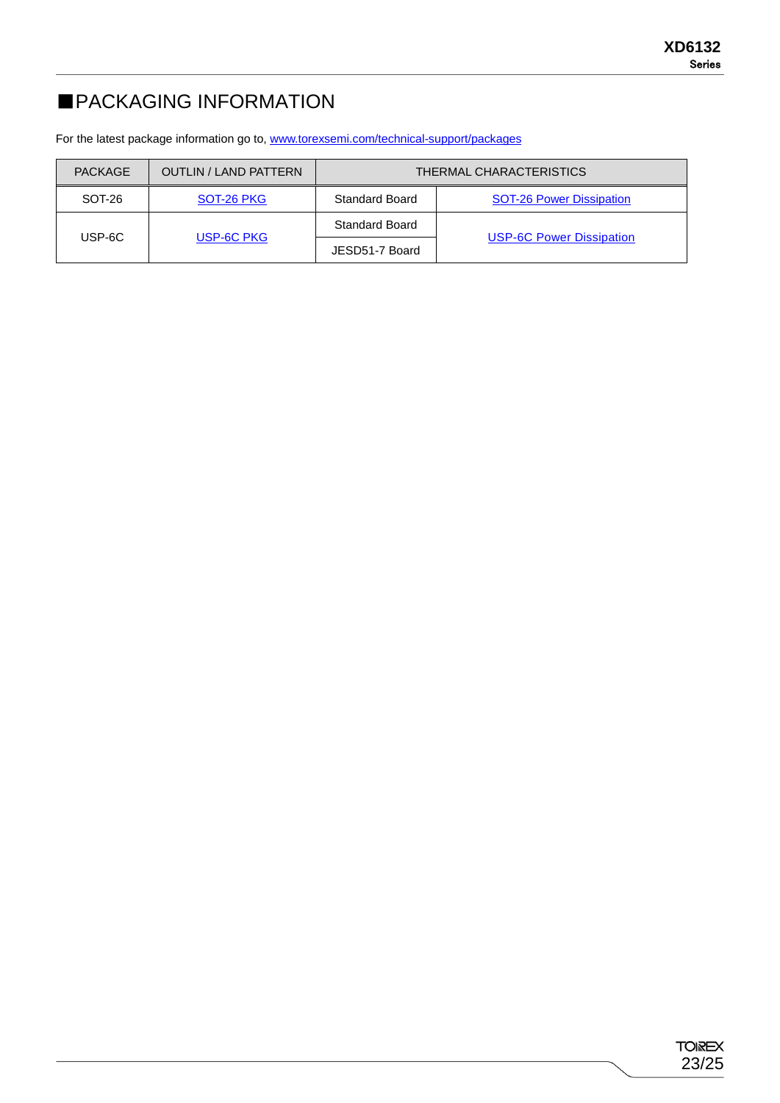### ■PACKAGING INFORMATION

For the latest package information go to, [www.torexsemi.com/technical-support/packages](https://www.torexsemi.com/technical-support/packages/)

| PACKAGE | <b>OUTLIN / LAND PATTERN</b> | THERMAL CHARACTERISTICS |                                 |  |  |  |  |
|---------|------------------------------|-------------------------|---------------------------------|--|--|--|--|
| SOT-26  | SOT-26 PKG                   | <b>Standard Board</b>   | <b>SOT-26 Power Dissipation</b> |  |  |  |  |
| USP-6C  |                              | Standard Board          |                                 |  |  |  |  |
|         | USP-6C PKG                   | JESD51-7 Board          | <b>USP-6C Power Dissipation</b> |  |  |  |  |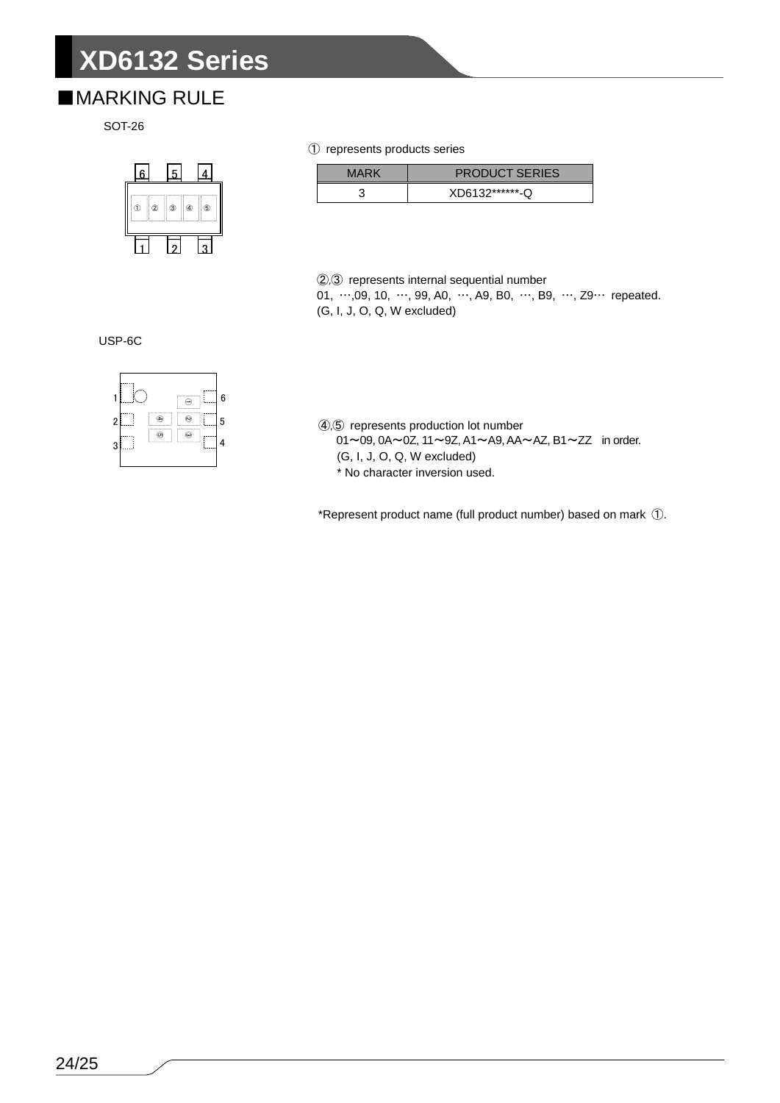#### ■MARKING RULE



#### represents products series

| MARK | <b>PRODUCT SERIES</b> |
|------|-----------------------|
|      | XD6132*******-Q       |

,③ represents internal sequential number 01, …,09, 10, …, 99, A0, …, A9, B0, …, B9, …, Z9… repeated. (G, I, J, O, Q, W excluded)

USP-6C



,⑤ represents production lot number

- ~09, 0A~0Z, 11~9Z, A1~A9, AA~AZ, B1~ZZ in order.
- (G, I, J, O, Q, W excluded)
- \* No character inversion used.

\*Represent product name (full product number) based on mark ①.